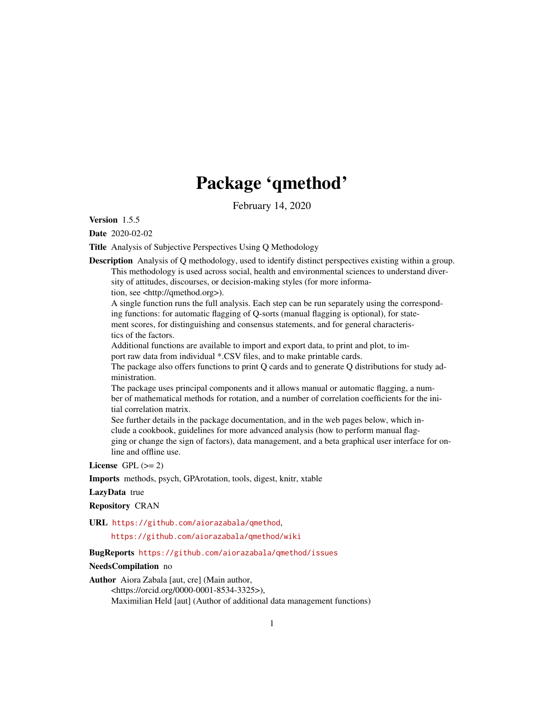# Package 'qmethod'

February 14, 2020

<span id="page-0-0"></span>Version 1.5.5

Date 2020-02-02

Title Analysis of Subjective Perspectives Using Q Methodology

Description Analysis of Q methodology, used to identify distinct perspectives existing within a group. This methodology is used across social, health and environmental sciences to understand diversity of attitudes, discourses, or decision-making styles (for more information, see <http://qmethod.org>).

A single function runs the full analysis. Each step can be run separately using the corresponding functions: for automatic flagging of Q-sorts (manual flagging is optional), for statement scores, for distinguishing and consensus statements, and for general characteristics of the factors.

Additional functions are available to import and export data, to print and plot, to import raw data from individual \*.CSV files, and to make printable cards.

The package also offers functions to print Q cards and to generate Q distributions for study administration.

The package uses principal components and it allows manual or automatic flagging, a number of mathematical methods for rotation, and a number of correlation coefficients for the initial correlation matrix.

See further details in the package documentation, and in the web pages below, which include a cookbook, guidelines for more advanced analysis (how to perform manual flagging or change the sign of factors), data management, and a beta graphical user interface for online and offline use.

License GPL  $(>= 2)$ 

Imports methods, psych, GPArotation, tools, digest, knitr, xtable

## LazyData true

Repository CRAN

URL <https://github.com/aiorazabala/qmethod>,

<https://github.com/aiorazabala/qmethod/wiki>

## BugReports <https://github.com/aiorazabala/qmethod/issues>

## NeedsCompilation no

Author Aiora Zabala [aut, cre] (Main author, <https://orcid.org/0000-0001-8534-3325>),

Maximilian Held [aut] (Author of additional data management functions)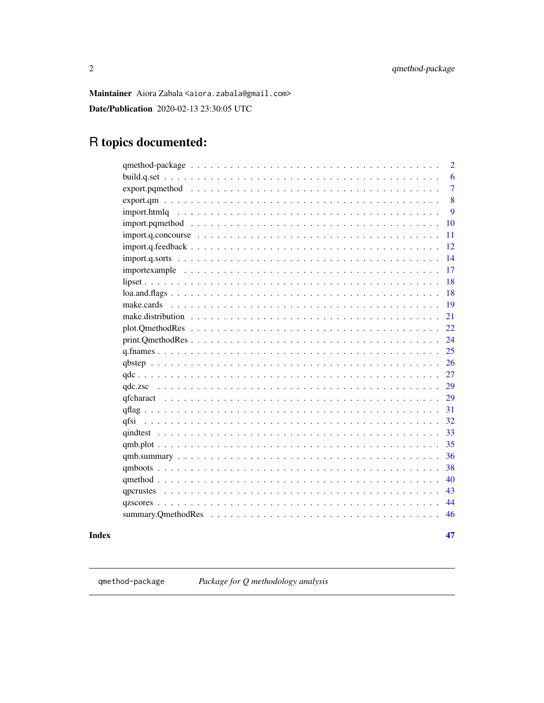47

<span id="page-1-0"></span>Maintainer Aiora Zabala <aiora.zabala@gmail.com>

Date/Publication 2020-02-13 23:30:05 UTC

## R topics documented:

|                                                                                                                  | $\overline{2}$ |
|------------------------------------------------------------------------------------------------------------------|----------------|
|                                                                                                                  | 6              |
|                                                                                                                  | $\overline{7}$ |
|                                                                                                                  | 8              |
|                                                                                                                  | 9              |
| 10                                                                                                               |                |
| 11<br>$import q.\nconcourse \ldots \ldots \ldots \ldots \ldots \ldots \ldots \ldots \ldots \ldots \ldots \ldots$ |                |
| 12                                                                                                               |                |
| 14<br>$import q.sorts \dots \dots \dots \dots \dots \dots \dots \dots \dots \dots \dots \dots \dots \dots \dots$ |                |
| 17                                                                                                               |                |
| 18                                                                                                               |                |
| 18                                                                                                               |                |
| -19                                                                                                              |                |
| 21                                                                                                               |                |
| 22                                                                                                               |                |
| 24                                                                                                               |                |
| 25                                                                                                               |                |
| 26                                                                                                               |                |
| 27                                                                                                               |                |
| 29                                                                                                               |                |
| 29                                                                                                               |                |
| 31                                                                                                               |                |
| 32                                                                                                               |                |
|                                                                                                                  |                |
| 35                                                                                                               |                |
| 36                                                                                                               |                |
| 38                                                                                                               |                |
| 40                                                                                                               |                |
| 43                                                                                                               |                |
| 44                                                                                                               |                |
| 46                                                                                                               |                |
|                                                                                                                  |                |

## **Index**

<span id="page-1-1"></span>qmethod-package

Package for Q methodology analysis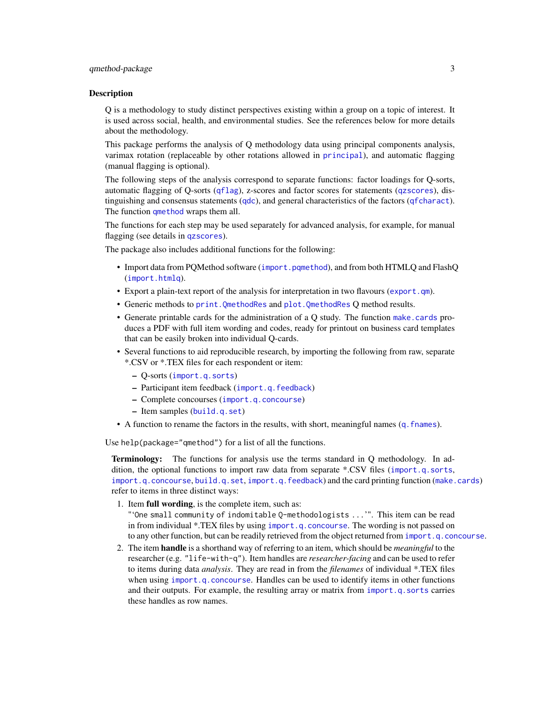<span id="page-2-0"></span>Q is a methodology to study distinct perspectives existing within a group on a topic of interest. It is used across social, health, and environmental studies. See the references below for more details about the methodology.

This package performs the analysis of Q methodology data using principal components analysis, varimax rotation (replaceable by other rotations allowed in [principal](#page-0-0)), and automatic flagging (manual flagging is optional).

The following steps of the analysis correspond to separate functions: factor loadings for Q-sorts, automatic flagging of Q-sorts ([qflag](#page-30-1)), z-scores and factor scores for statements ([qzscores](#page-43-1)), distinguishing and consensus statements ([qdc](#page-26-1)), and general characteristics of the factors ([qfcharact](#page-28-1)). The function [qmethod](#page-39-1) wraps them all.

The functions for each step may be used separately for advanced analysis, for example, for manual flagging (see details in [qzscores](#page-43-1)).

The package also includes additional functions for the following:

- Import data from PQMethod software ([import.pqmethod](#page-9-1)), and from both HTMLQ and FlashQ ([import.htmlq](#page-8-1)).
- Export a plain-text report of the analysis for interpretation in two flavours ([export.qm](#page-7-1)).
- Generic methods to [print.QmethodRes](#page-23-1) and [plot.QmethodRes](#page-21-1) Q method results.
- Generate printable cards for the administration of a Q study. The function [make.cards](#page-18-1) produces a PDF with full item wording and codes, ready for printout on business card templates that can be easily broken into individual Q-cards.
- Several functions to aid reproducible research, by importing the following from raw, separate \*.CSV or \*.TEX files for each respondent or item:
	- Q-sorts ([import.q.sorts](#page-13-1))
	- Participant item feedback ([import.q.feedback](#page-11-1))
	- Complete concourses ([import.q.concourse](#page-10-1))
	- Item samples ([build.q.set](#page-5-1))
- A function to rename the factors in the results, with short, meaningful names ([q.fnames](#page-24-1)).

Use help(package="qmethod") for a list of all the functions.

Terminology: The functions for analysis use the terms standard in Q methodology. In addition, the optional functions to import raw data from separate \*.CSV files ([import.q.sorts](#page-13-1), [import.q.concourse](#page-10-1), [build.q.set](#page-5-1), [import.q.feedback](#page-11-1)) and the card printing function ([make.cards](#page-18-1)) refer to items in three distinct ways:

- 1. Item full wording, is the complete item, such as:
- "'One small community of indomitable Q-methodologists ...'". This item can be read in from individual \*.TEX files by using [import.q.concourse](#page-10-1). The wording is not passed on to any other function, but can be readily retrieved from the object returned from [import.q.concourse](#page-10-1).
- 2. The item handle is a shorthand way of referring to an item, which should be *meaningful* to the researcher (e.g. "life-with-q"). Item handles are *researcher-facing* and can be used to refer to items during data *analysis*. They are read in from the *filenames* of individual \*.TEX files when using [import.q.concourse](#page-10-1). Handles can be used to identify items in other functions and their outputs. For example, the resulting array or matrix from [import.q.sorts](#page-13-1) carries these handles as row names.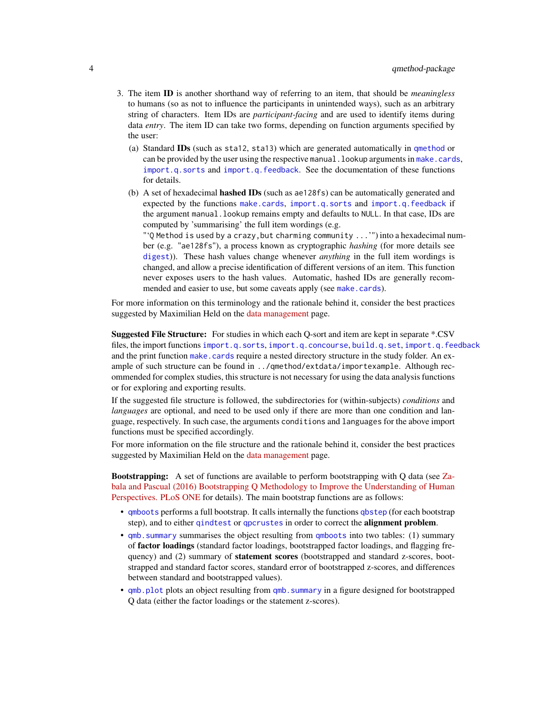- <span id="page-3-0"></span>3. The item ID is another shorthand way of referring to an item, that should be *meaningless* to humans (so as not to influence the participants in unintended ways), such as an arbitrary string of characters. Item IDs are *participant-facing* and are used to identify items during data *entry*. The item ID can take two forms, depending on function arguments specified by the user:
	- (a) Standard IDs (such as sta12, sta13) which are generated automatically in [qmethod](#page-39-1) or can be provided by the user using the respective manual. lookup arguments in [make.cards](#page-18-1), [import.q.sorts](#page-13-1) and [import.q.feedback](#page-11-1). See the documentation of these functions for details.
	- (b) A set of hexadecimal hashed IDs (such as ae128fs) can be automatically generated and expected by the functions [make.cards](#page-18-1), [import.q.sorts](#page-13-1) and [import.q.feedback](#page-11-1) if the argument manual.lookup remains empty and defaults to NULL. In that case, IDs are computed by 'summarising' the full item wordings (e.g.
		- "'Q Method is used by a crazy,but charming community ...'") into a hexadecimal number (e.g. "ae128fs"), a process known as cryptographic *hashing* (for more details see [digest](#page-0-0))). These hash values change whenever *anything* in the full item wordings is changed, and allow a precise identification of different versions of an item. This function never exposes users to the hash values. Automatic, hashed IDs are generally recommended and easier to use, but some caveats apply (see [make.cards](#page-18-1)).

For more information on this terminology and the rationale behind it, consider the best practices suggested by Maximilian Held on the [data management](https://github.com/aiorazabala/qmethod/wiki/Data-management) page.

Suggested File Structure: For studies in which each Q-sort and item are kept in separate \*.CSV files, the import functions [import.q.sorts](#page-13-1), [import.q.concourse](#page-10-1), [build.q.set](#page-5-1), [import.q.feedback](#page-11-1) and the print function [make.cards](#page-18-1) require a nested directory structure in the study folder. An example of such structure can be found in ../qmethod/extdata/importexample. Although recommended for complex studies, this structure is not necessary for using the data analysis functions or for exploring and exporting results.

If the suggested file structure is followed, the subdirectories for (within-subjects) *conditions* and *languages* are optional, and need to be used only if there are more than one condition and language, respectively. In such case, the arguments conditions and languages for the above import functions must be specified accordingly.

For more information on the file structure and the rationale behind it, consider the best practices suggested by Maximilian Held on the [data management](https://github.com/aiorazabala/qmethod/wiki/Data-management) page.

Bootstrapping: A set of functions are available to perform bootstrapping with Q data (see [Za](http://goo.gl/KFyh5N)[bala and Pascual \(2016\) Bootstrapping Q Methodology to Improve the Understanding of Human](http://goo.gl/KFyh5N) [Perspectives. PLoS ONE](http://goo.gl/KFyh5N) for details). The main bootstrap functions are as follows:

- [qmboots](#page-37-1) performs a full bootstrap. It calls internally the functions [qbstep](#page-25-1) (for each bootstrap step), and to either [qindtest](#page-32-1) or [qpcrustes](#page-42-1) in order to correct the alignment problem.
- qmb. summary summarises the object resulting from [qmboots](#page-37-1) into two tables: (1) summary of factor loadings (standard factor loadings, bootstrapped factor loadings, and flagging frequency) and (2) summary of **statement scores** (bootstrapped and standard z-scores, bootstrapped and standard factor scores, standard error of bootstrapped z-scores, and differences between standard and bootstrapped values).
- [qmb.plot](#page-34-1) plots an object resulting from [qmb.summary](#page-35-1) in a figure designed for bootstrapped Q data (either the factor loadings or the statement z-scores).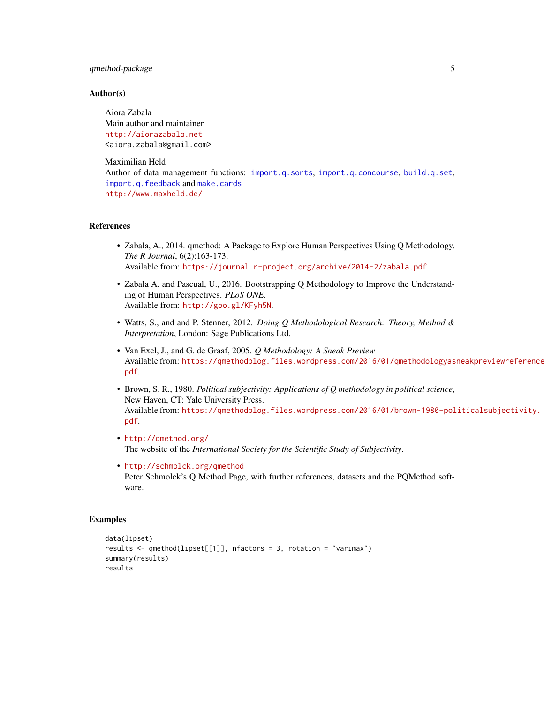## <span id="page-4-0"></span>qmethod-package 5

#### Author(s)

Aiora Zabala Main author and maintainer <http://aiorazabala.net> <aiora.zabala@gmail.com>

Maximilian Held Author of data management functions: [import.q.sorts](#page-13-1), [import.q.concourse](#page-10-1), [build.q.set](#page-5-1), [import.q.feedback](#page-11-1) and [make.cards](#page-18-1) <http://www.maxheld.de/>

## References

- Zabala, A., 2014. qmethod: A Package to Explore Human Perspectives Using Q Methodology. *The R Journal*, 6(2):163-173. Available from: <https://journal.r-project.org/archive/2014-2/zabala.pdf>.
- Zabala A. and Pascual, U., 2016. Bootstrapping Q Methodology to Improve the Understanding of Human Perspectives. *PLoS ONE*. Available from: <http://goo.gl/KFyh5N>.
- Watts, S., and and P. Stenner, 2012. *Doing Q Methodological Research: Theory, Method & Interpretation*, London: Sage Publications Ltd.
- Van Exel, J., and G. de Graaf, 2005. *Q Methodology: A Sneak Preview* Available from: [https://qmethodblog.files.wordpress.com/2016/01/qmethodologyas](https://qmethodblog.files.wordpress.com/2016/01/qmethodologyasneakpreviewreferenceupdate.pdf)neakpreviewreference [pdf](https://qmethodblog.files.wordpress.com/2016/01/qmethodologyasneakpreviewreferenceupdate.pdf).
- Brown, S. R., 1980. *Political subjectivity: Applications of Q methodology in political science*, New Haven, CT: Yale University Press. Available from: [https://qmethodblog.files.wordpress.com/2016/01/brown-1980-pol](https://qmethodblog.files.wordpress.com/2016/01/brown-1980-politicalsubjectivity.pdf)iticalsubjectivity. [pdf](https://qmethodblog.files.wordpress.com/2016/01/brown-1980-politicalsubjectivity.pdf).
- <http://qmethod.org/> The website of the *International Society for the Scientific Study of Subjectivity*.
- <http://schmolck.org/qmethod> Peter Schmolck's Q Method Page, with further references, datasets and the PQMethod software.

```
data(lipset)
results \leq qmethod(lipset[[1]], nfactors = 3, rotation = "varimax")
summary(results)
results
```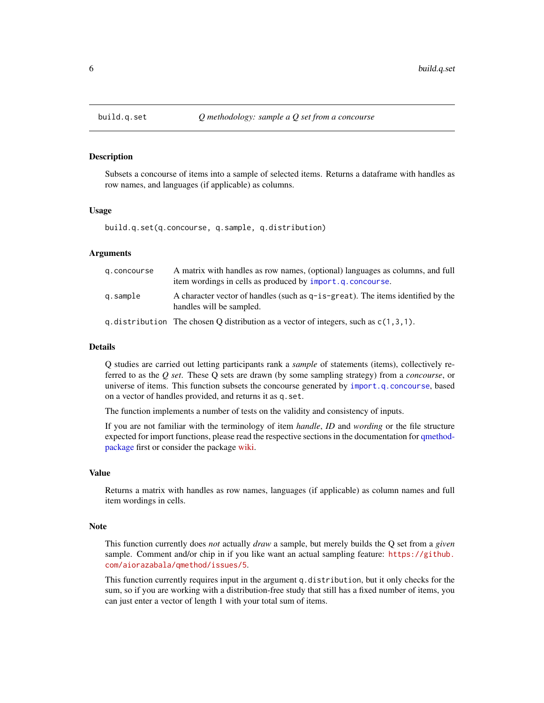Subsets a concourse of items into a sample of selected items. Returns a dataframe with handles as row names, and languages (if applicable) as columns.

#### Usage

build.q.set(q.concourse, q.sample, q.distribution)

## Arguments

| g.concourse | A matrix with handles as row names, (optional) languages as columns, and full<br>item wordings in cells as produced by import.q.concourse. |
|-------------|--------------------------------------------------------------------------------------------------------------------------------------------|
| q.sample    | A character vector of handles (such as $q$ -is-great). The items identified by the<br>handles will be sampled.                             |
|             | q. distribution The chosen Q distribution as a vector of integers, such as $c(1,3,1)$ .                                                    |

#### Details

Q studies are carried out letting participants rank a *sample* of statements (items), collectively referred to as the *Q set*. These Q sets are drawn (by some sampling strategy) from a *concourse*, or universe of items. This function subsets the concourse generated by [import.q.concourse](#page-10-1), based on a vector of handles provided, and returns it as q.set.

The function implements a number of tests on the validity and consistency of inputs.

If you are not familiar with the terminology of item *handle*, *ID* and *wording* or the file structure expected for import functions, please read the respective sections in the documentation for [qmethod](#page-1-1)[package](#page-1-1) first or consider the package [wiki.](https://github.com/aiorazabala/qmethod/wiki/Data-management)

## Value

Returns a matrix with handles as row names, languages (if applicable) as column names and full item wordings in cells.

#### Note

This function currently does *not* actually *draw* a sample, but merely builds the Q set from a *given* sample. Comment and/or chip in if you like want an actual sampling feature: [https://github.](https://github.com/aiorazabala/qmethod/issues/5) [com/aiorazabala/qmethod/issues/5](https://github.com/aiorazabala/qmethod/issues/5).

This function currently requires input in the argument q.distribution, but it only checks for the sum, so if you are working with a distribution-free study that still has a fixed number of items, you can just enter a vector of length 1 with your total sum of items.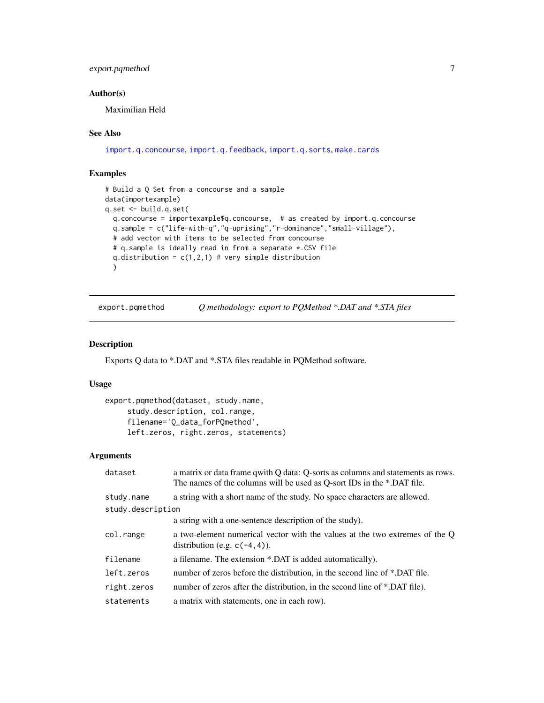## <span id="page-6-0"></span>export.pqmethod 7

## Author(s)

Maximilian Held

#### See Also

[import.q.concourse](#page-10-1), [import.q.feedback](#page-11-1), [import.q.sorts](#page-13-1), [make.cards](#page-18-1)

## Examples

```
# Build a Q Set from a concourse and a sample
data(importexample)
q.set <- build.q.set(
 q.concourse = importexample$q.concourse, # as created by import.q.concourse
 q.sample = c("life-with-q","q-uprising","r-dominance","small-village"),
 # add vector with items to be selected from concourse
 # q.sample is ideally read in from a separate *.CSV file
 q.distribution = c(1,2,1) # very simple distribution
 )
```
export.pqmethod *Q methodology: export to PQMethod \*.DAT and \*.STA files*

#### Description

Exports Q data to \*.DAT and \*.STA files readable in PQMethod software.

#### Usage

```
export.pqmethod(dataset, study.name,
     study.description, col.range,
     filename='Q_data_forPQmethod',
     left.zeros, right.zeros, statements)
```
## Arguments

| dataset           | a matrix or data frame qwith Q data: Q-sorts as columns and statements as rows.<br>The names of the columns will be used as Q-sort IDs in the *.DAT file. |  |
|-------------------|-----------------------------------------------------------------------------------------------------------------------------------------------------------|--|
| study.name        | a string with a short name of the study. No space characters are allowed.                                                                                 |  |
| study.description |                                                                                                                                                           |  |
|                   | a string with a one-sentence description of the study).                                                                                                   |  |
| col.range         | a two-element numerical vector with the values at the two extremes of the Q<br>distribution (e.g. $c(-4, 4)$ ).                                           |  |
| filename          | a filename. The extension *.DAT is added automatically).                                                                                                  |  |
| left.zeros        | number of zeros before the distribution, in the second line of *.DAT file.                                                                                |  |
| right.zeros       | number of zeros after the distribution, in the second line of *.DAT file).                                                                                |  |
| statements        | a matrix with statements, one in each row).                                                                                                               |  |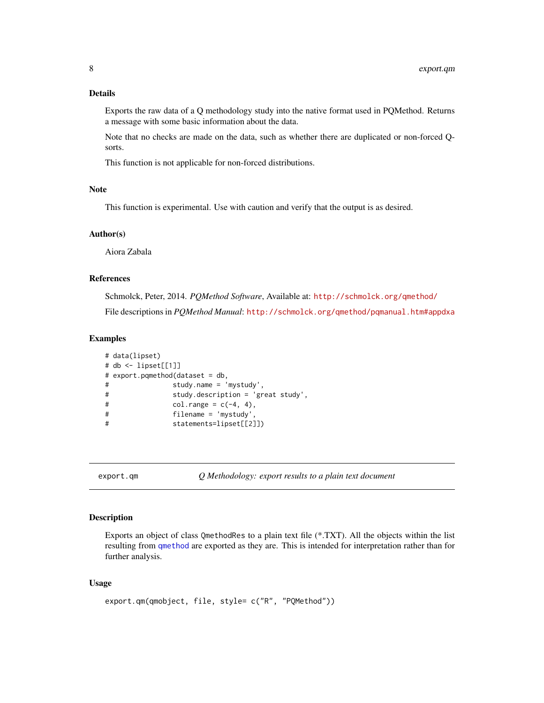## <span id="page-7-0"></span>Details

Exports the raw data of a Q methodology study into the native format used in PQMethod. Returns a message with some basic information about the data.

Note that no checks are made on the data, such as whether there are duplicated or non-forced Qsorts.

This function is not applicable for non-forced distributions.

#### **Note**

This function is experimental. Use with caution and verify that the output is as desired.

#### Author(s)

Aiora Zabala

#### References

Schmolck, Peter, 2014. *PQMethod Software*, Available at: <http://schmolck.org/qmethod/> File descriptions in *PQMethod Manual*: <http://schmolck.org/qmethod/pqmanual.htm#appdxa>

#### Examples

```
# data(lipset)
# db <- lipset[[1]]
# export.pqmethod(dataset = db,
# study.name = 'mystudy',
# study.description = 'great study',
# col-range = c(-4, 4),# filename = 'mystudy',
# statements=lipset[[2]])
```
<span id="page-7-1"></span>export.qm *Q Methodology: export results to a plain text document*

#### Description

Exports an object of class QmethodRes to a plain text file (\*.TXT). All the objects within the list resulting from [qmethod](#page-39-1) are exported as they are. This is intended for interpretation rather than for further analysis.

#### Usage

```
export.qm(qmobject, file, style= c("R", "PQMethod"))
```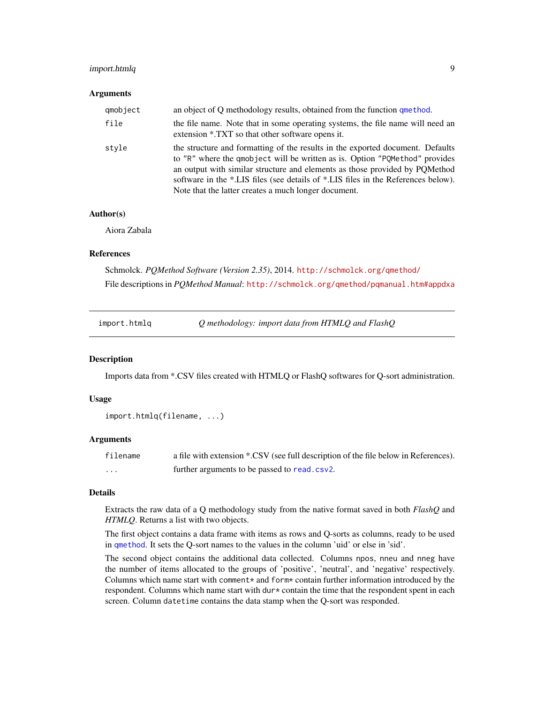## <span id="page-8-0"></span>import.htmlq 9

#### Arguments

| qmobject | an object of Q methodology results, obtained from the function que thod.                                                                                                                                                                                                                                                                                                                  |
|----------|-------------------------------------------------------------------------------------------------------------------------------------------------------------------------------------------------------------------------------------------------------------------------------------------------------------------------------------------------------------------------------------------|
| file     | the file name. Note that in some operating systems, the file name will need an<br>extension *.TXT so that other software opens it.                                                                                                                                                                                                                                                        |
| style    | the structure and formatting of the results in the exported document. Defaults<br>to "R" where the qmobject will be written as is. Option "PQMethod" provides<br>an output with similar structure and elements as those provided by POMethod<br>software in the *.LIS files (see details of *.LIS files in the References below).<br>Note that the latter creates a much longer document. |

## Author(s)

Aiora Zabala

## References

Schmolck. *PQMethod Software (Version 2.35)*, 2014. <http://schmolck.org/qmethod/> File descriptions in *PQMethod Manual*: <http://schmolck.org/qmethod/pqmanual.htm#appdxa>

<span id="page-8-1"></span>

| import.htmlq | $Q$ methodology: import data from HTMLQ and FlashQ |
|--------------|----------------------------------------------------|
|--------------|----------------------------------------------------|

#### Description

Imports data from \*.CSV files created with HTMLQ or FlashQ softwares for Q-sort administration.

#### Usage

```
import.htmlq(filename, ...)
```
## Arguments

| filename | a file with extension *.CSV (see full description of the file below in References). |
|----------|-------------------------------------------------------------------------------------|
| .        | further arguments to be passed to read.csv2.                                        |

## Details

Extracts the raw data of a Q methodology study from the native format saved in both *FlashQ* and *HTMLQ*. Returns a list with two objects.

The first object contains a data frame with items as rows and Q-sorts as columns, ready to be used in [qmethod](#page-39-1). It sets the Q-sort names to the values in the column 'uid' or else in 'sid'.

The second object contains the additional data collected. Columns npos, nneu and nneg have the number of items allocated to the groups of 'positive', 'neutral', and 'negative' respectively. Columns which name start with comment $*$  and form $*$  contain further information introduced by the respondent. Columns which name start with dur\* contain the time that the respondent spent in each screen. Column datetime contains the data stamp when the Q-sort was responded.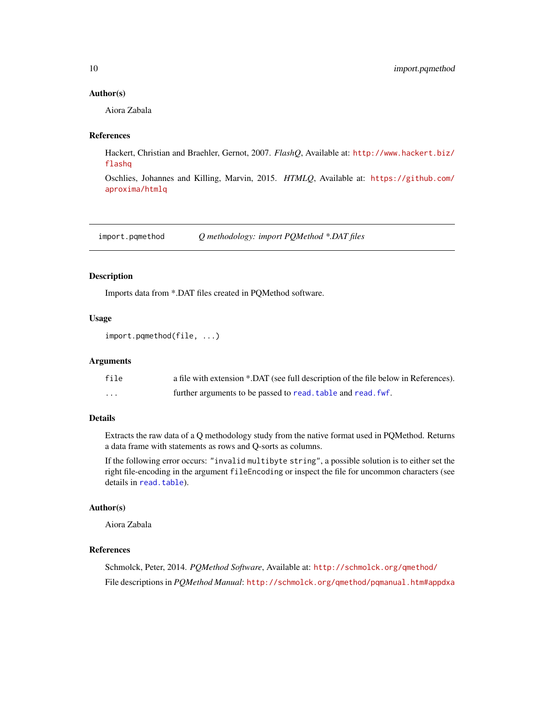#### <span id="page-9-0"></span>Author(s)

Aiora Zabala

#### References

Hackert, Christian and Braehler, Gernot, 2007. *FlashQ*, Available at: [http://www.hackert.biz/](http://www.hackert.biz/flashq) [flashq](http://www.hackert.biz/flashq)

Oschlies, Johannes and Killing, Marvin, 2015. *HTMLQ*, Available at: [https://github.com/](https://github.com/aproxima/htmlq) [aproxima/htmlq](https://github.com/aproxima/htmlq)

<span id="page-9-1"></span>import.pqmethod *Q methodology: import PQMethod \*.DAT files*

#### Description

Imports data from \*.DAT files created in PQMethod software.

#### Usage

```
import.pqmethod(file, ...)
```
## Arguments

| file                 | a file with extension *.DAT (see full description of the file below in References). |
|----------------------|-------------------------------------------------------------------------------------|
| $\ddot{\phantom{0}}$ | further arguments to be passed to read. table and read. fwf.                        |

## Details

Extracts the raw data of a Q methodology study from the native format used in PQMethod. Returns a data frame with statements as rows and Q-sorts as columns.

If the following error occurs: "invalid multibyte string", a possible solution is to either set the right file-encoding in the argument fileEncoding or inspect the file for uncommon characters (see details in [read.table](#page-0-0)).

#### Author(s)

Aiora Zabala

## References

Schmolck, Peter, 2014. *PQMethod Software*, Available at: <http://schmolck.org/qmethod/> File descriptions in *PQMethod Manual*: <http://schmolck.org/qmethod/pqmanual.htm#appdxa>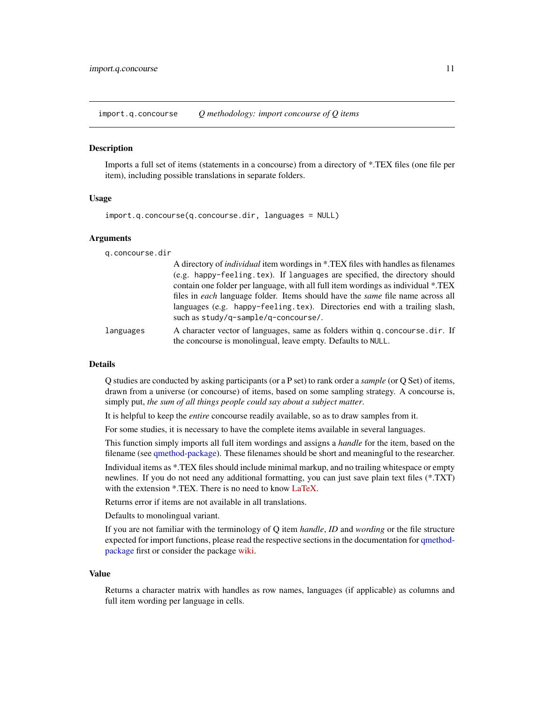<span id="page-10-1"></span><span id="page-10-0"></span>import.q.concourse *Q methodology: import concourse of Q items*

#### **Description**

Imports a full set of items (statements in a concourse) from a directory of \*.TEX files (one file per item), including possible translations in separate folders.

#### Usage

```
import.q.concourse(q.concourse.dir, languages = NULL)
```
#### **Arguments**

q.concourse.dir

|           | A directory of <i>individual</i> item wordings in *.TEX files with handles as filenames |
|-----------|-----------------------------------------------------------------------------------------|
|           | (e.g. happy-feeling.tex). If languages are specified, the directory should              |
|           | contain one folder per language, with all full item wordings as individual *.TEX        |
|           | files in each language folder. Items should have the <i>same</i> file name across all   |
|           | languages (e.g. happy-feeling.tex). Directories end with a trailing slash,              |
|           | such as study/q-sample/q-concourse/.                                                    |
| languages | A character vector of languages, same as folders within q. concourse. dir. If           |

#### **Details**

Q studies are conducted by asking participants (or a P set) to rank order a *sample* (or Q Set) of items, drawn from a universe (or concourse) of items, based on some sampling strategy. A concourse is, simply put, *the sum of all things people could say about a subject matter*.

the concourse is monolingual, leave empty. Defaults to NULL.

It is helpful to keep the *entire* concourse readily available, so as to draw samples from it.

For some studies, it is necessary to have the complete items available in several languages.

This function simply imports all full item wordings and assigns a *handle* for the item, based on the filename (see [qmethod-package\)](#page-1-1). These filenames should be short and meaningful to the researcher.

Individual items as \*.TEX files should include minimal markup, and no trailing whitespace or empty newlines. If you do not need any additional formatting, you can just save plain text files (\*.TXT) with the extension \*.TEX. There is no need to know [LaTeX.](http://www.latex-project.org)

Returns error if items are not available in all translations.

Defaults to monolingual variant.

If you are not familiar with the terminology of Q item *handle*, *ID* and *wording* or the file structure expected for import functions, please read the respective sections in the documentation for [qmethod](#page-1-1)[package](#page-1-1) first or consider the package [wiki.](https://github.com/aiorazabala/qmethod/wiki/Data-management)

#### Value

Returns a character matrix with handles as row names, languages (if applicable) as columns and full item wording per language in cells.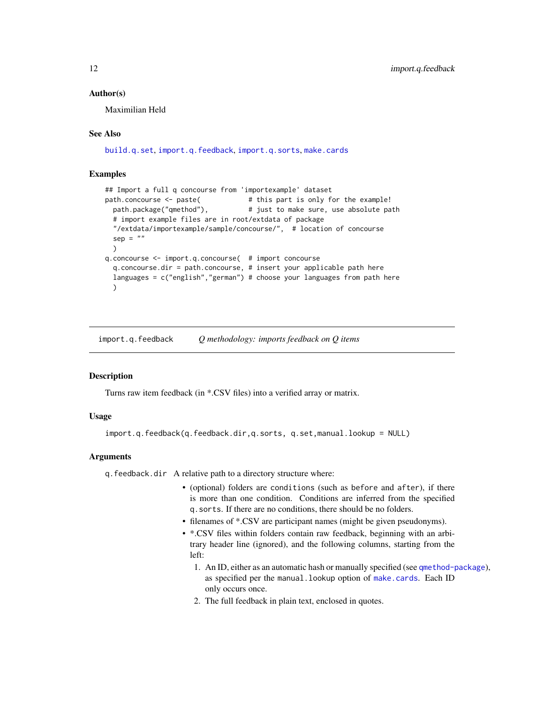#### <span id="page-11-0"></span>Author(s)

Maximilian Held

#### See Also

[build.q.set](#page-5-1), [import.q.feedback](#page-11-1), [import.q.sorts](#page-13-1), [make.cards](#page-18-1)

#### Examples

```
## Import a full q concourse from 'importexample' dataset
path.concourse <- paste( # this part is only for the example!
 path.package("qmethod"), \qquad # just to make sure, use absolute path
 # import example files are in root/extdata of package
 "/extdata/importexample/sample/concourse/", # location of concourse
 sep = "")
q.concourse <- import.q.concourse( # import concourse
 q.concourse.dir = path.concourse, # insert your applicable path here
 languages = c("english","german") # choose your languages from path here
 )
```
<span id="page-11-1"></span>import.q.feedback *Q methodology: imports feedback on Q items*

## Description

Turns raw item feedback (in \*.CSV files) into a verified array or matrix.

#### Usage

import.q.feedback(q.feedback.dir,q.sorts, q.set,manual.lookup = NULL)

#### Arguments

q.feedback.dir A relative path to a directory structure where:

- (optional) folders are conditions (such as before and after), if there is more than one condition. Conditions are inferred from the specified q.sorts. If there are no conditions, there should be no folders.
- filenames of \*.CSV are participant names (might be given pseudonyms).
- \*.CSV files within folders contain raw feedback, beginning with an arbitrary header line (ignored), and the following columns, starting from the left:
	- 1. An ID, either as an automatic hash or manually specified (see [qmethod-package](#page-1-1)), as specified per the manual.lookup option of [make.cards](#page-18-1). Each ID only occurs once.
	- 2. The full feedback in plain text, enclosed in quotes.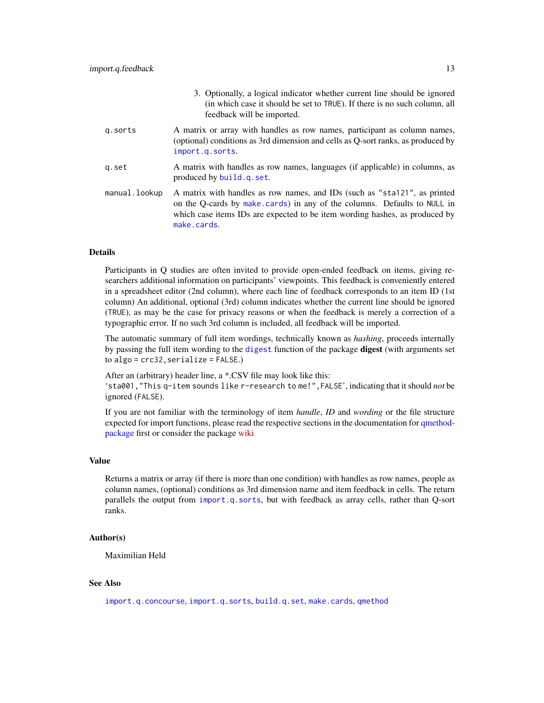<span id="page-12-0"></span>

|               | 5. Optionally, a logical indicator whether current line should be ignored<br>(in which case it should be set to TRUE). If there is no such column, all<br>feedback will be imported.                                                                |
|---------------|-----------------------------------------------------------------------------------------------------------------------------------------------------------------------------------------------------------------------------------------------------|
| q.sorts       | A matrix or array with handles as row names, participant as column names,<br>(optional) conditions as 3rd dimension and cells as Q-sort ranks, as produced by<br>import.g.sorts.                                                                    |
| q.set         | A matrix with handles as row names, languages (if applicable) in columns, as<br>produced by build.q.set.                                                                                                                                            |
| manual.lookup | A matrix with handles as row names, and IDs (such as "sta121", as printed<br>on the Q-cards by make cards) in any of the columns. Defaults to NULL in<br>which case items IDs are expected to be item wording hashes, as produced by<br>make.cards. |

3. Optionally, a logical indicator whether current line should be ignored

## Details

Participants in Q studies are often invited to provide open-ended feedback on items, giving researchers additional information on participants' viewpoints. This feedback is conveniently entered in a spreadsheet editor (2nd column), where each line of feedback corresponds to an item ID (1st column) An additional, optional (3rd) column indicates whether the current line should be ignored (TRUE), as may be the case for privacy reasons or when the feedback is merely a correction of a typographic error. If no such 3rd column is included, all feedback will be imported.

The automatic summary of full item wordings, technically known as *hashing*, proceeds internally by passing the full item wording to the [digest](#page-0-0) function of the package **digest** (with arguments set to algo = crc32,serialize = FALSE.)

After an (arbitrary) header line, a \*.CSV file may look like this: 'sta001,"This q-item sounds like r-research to me!",FALSE', indicating that it should *not* be ignored (FALSE).

If you are not familiar with the terminology of item *handle*, *ID* and *wording* or the file structure expected for import functions, please read the respective sections in the documentation for [qmethod](#page-1-1)[package](#page-1-1) first or consider the package [wiki](https://github.com/aiorazabala/qmethod/wiki/Data-management)

#### Value

Returns a matrix or array (if there is more than one condition) with handles as row names, people as column names, (optional) conditions as 3rd dimension name and item feedback in cells. The return parallels the output from [import.q.sorts](#page-13-1), but with feedback as array cells, rather than Q-sort ranks.

## Author(s)

Maximilian Held

#### See Also

[import.q.concourse](#page-10-1), [import.q.sorts](#page-13-1), [build.q.set](#page-5-1), [make.cards](#page-18-1), [qmethod](#page-39-1)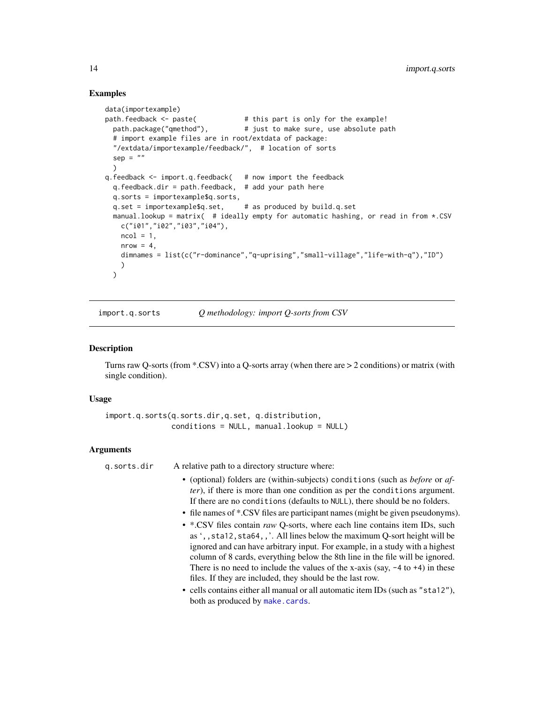#### Examples

```
data(importexample)
path.feedback <- paste( # this part is only for the example!
 path.package("qmethod"), # just to make sure, use absolute path
 # import example files are in root/extdata of package:
 "/extdata/importexample/feedback/", # location of sorts
 sep = "")
q.feedback <- import.q.feedback( # now import the feedback
 q.feedback.dir = path.feedback, # add your path here
 q.sorts = importexample$q.sorts,
 q.set = importexample$q.set, # as produced by build.q.set
 manual.lookup = matrix( # ideally empty for automatic hashing, or read in from *.CSV
   c("i01","i02","i03","i04"),
   ncol = 1,
   nrow = 4,
   dimnames = list(c("r-dominance","q-uprising","small-village","life-with-q"),"ID")
   )
 \lambda
```
<span id="page-13-1"></span>import.q.sorts *Q methodology: import Q-sorts from CSV*

#### **Description**

Turns raw Q-sorts (from \*.CSV) into a Q-sorts array (when there are > 2 conditions) or matrix (with single condition).

#### Usage

```
import.q.sorts(q.sorts.dir,q.set, q.distribution,
               conditions = NULL, manual.lookup = NULL)
```
#### Arguments

q.sorts.dir A relative path to a directory structure where:

- (optional) folders are (within-subjects) conditions (such as *before* or *after*), if there is more than one condition as per the conditions argument. If there are no conditions (defaults to NULL), there should be no folders.
- file names of \*.CSV files are participant names (might be given pseudonyms).
- \*.CSV files contain *raw* Q-sorts, where each line contains item IDs, such as ',,sta12,sta64,,'. All lines below the maximum Q-sort height will be ignored and can have arbitrary input. For example, in a study with a highest column of 8 cards, everything below the 8th line in the file will be ignored. There is no need to include the values of the x-axis (say,  $-4$  to  $+4$ ) in these files. If they are included, they should be the last row.
- cells contains either all manual or all automatic item IDs (such as "sta12"), both as produced by [make.cards](#page-18-1).

<span id="page-13-0"></span>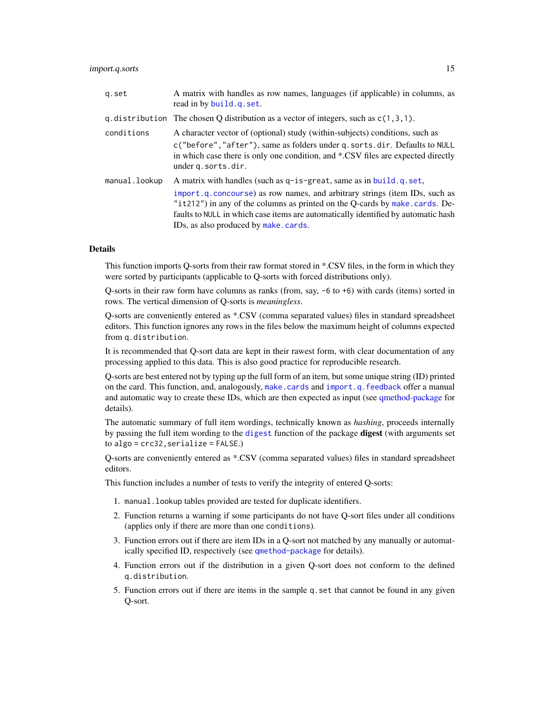#### <span id="page-14-0"></span>import.q.sorts 15

| q.set         | A matrix with handles as row names, languages (if applicable) in columns, as<br>read in by build.q.set.                                                                                                                                                                                                                                                                |
|---------------|------------------------------------------------------------------------------------------------------------------------------------------------------------------------------------------------------------------------------------------------------------------------------------------------------------------------------------------------------------------------|
|               | q. distribution The chosen Q distribution as a vector of integers, such as $c(1,3,1)$ .                                                                                                                                                                                                                                                                                |
| conditions    | A character vector of (optional) study (within-subjects) conditions, such as<br>c("before", "after"), same as folders under q. sorts.dir. Defaults to NULL<br>in which case there is only one condition, and *.CSV files are expected directly<br>under q. sorts.dir.                                                                                                  |
| manual.lookup | A matrix with handles (such as $q$ -is-great, same as in build, q, set,<br>import.g. concourse) as row names, and arbitrary strings (item IDs, such as<br>" $it212$ ") in any of the columns as printed on the Q-cards by make.cards. De-<br>faults to NULL in which case items are automatically identified by automatic hash<br>IDs, as also produced by make.cards. |

## Details

This function imports Q-sorts from their raw format stored in \*.CSV files, in the form in which they were sorted by participants (applicable to Q-sorts with forced distributions only).

Q-sorts in their raw form have columns as ranks (from, say, -6 to +6) with cards (items) sorted in rows. The vertical dimension of Q-sorts is *meaningless*.

Q-sorts are conveniently entered as \*.CSV (comma separated values) files in standard spreadsheet editors. This function ignores any rows in the files below the maximum height of columns expected from q.distribution.

It is recommended that Q-sort data are kept in their rawest form, with clear documentation of any processing applied to this data. This is also good practice for reproducible research.

Q-sorts are best entered not by typing up the full form of an item, but some unique string (ID) printed on the card. This function, and, analogously, [make.cards](#page-18-1) and [import.q.feedback](#page-11-1) offer a manual and automatic way to create these IDs, which are then expected as input (see [qmethod-package](#page-1-1) for details).

The automatic summary of full item wordings, technically known as *hashing*, proceeds internally by passing the full item wording to the [digest](#page-0-0) function of the package **digest** (with arguments set to algo = crc32,serialize = FALSE.)

Q-sorts are conveniently entered as \*.CSV (comma separated values) files in standard spreadsheet editors.

This function includes a number of tests to verify the integrity of entered Q-sorts:

- 1. manual.lookup tables provided are tested for duplicate identifiers.
- 2. Function returns a warning if some participants do not have Q-sort files under all conditions (applies only if there are more than one conditions).
- 3. Function errors out if there are item IDs in a Q-sort not matched by any manually or automatically specified ID, respectively (see [qmethod-package](#page-1-1) for details).
- 4. Function errors out if the distribution in a given Q-sort does not conform to the defined q.distribution.
- 5. Function errors out if there are items in the sample q.set that cannot be found in any given Q-sort.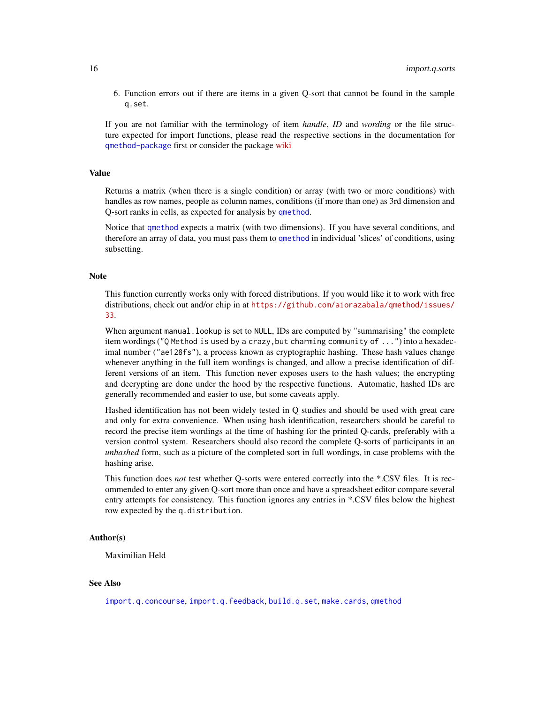<span id="page-15-0"></span>6. Function errors out if there are items in a given Q-sort that cannot be found in the sample q.set.

If you are not familiar with the terminology of item *handle*, *ID* and *wording* or the file structure expected for import functions, please read the respective sections in the documentation for [qmethod-package](#page-1-1) first or consider the package [wiki](https://github.com/aiorazabala/qmethod/wiki/Data-management)

#### Value

Returns a matrix (when there is a single condition) or array (with two or more conditions) with handles as row names, people as column names, conditions (if more than one) as 3rd dimension and Q-sort ranks in cells, as expected for analysis by [qmethod](#page-39-1).

Notice that [qmethod](#page-39-1) expects a matrix (with two dimensions). If you have several conditions, and therefore an array of data, you must pass them to [qmethod](#page-39-1) in individual 'slices' of conditions, using subsetting.

#### Note

This function currently works only with forced distributions. If you would like it to work with free distributions, check out and/or chip in at [https://github.com/aiorazabala/qmethod/issues/](https://github.com/aiorazabala/qmethod/issues/33) [33](https://github.com/aiorazabala/qmethod/issues/33).

When argument manual.lookup is set to NULL, IDs are computed by "summarising" the complete item wordings ("Q Method is used by a crazy,but charming community of ...") into a hexadecimal number ("ae128fs"), a process known as cryptographic hashing. These hash values change whenever anything in the full item wordings is changed, and allow a precise identification of different versions of an item. This function never exposes users to the hash values; the encrypting and decrypting are done under the hood by the respective functions. Automatic, hashed IDs are generally recommended and easier to use, but some caveats apply.

Hashed identification has not been widely tested in Q studies and should be used with great care and only for extra convenience. When using hash identification, researchers should be careful to record the precise item wordings at the time of hashing for the printed Q-cards, preferably with a version control system. Researchers should also record the complete Q-sorts of participants in an *unhashed* form, such as a picture of the completed sort in full wordings, in case problems with the hashing arise.

This function does *not* test whether Q-sorts were entered correctly into the \*.CSV files. It is recommended to enter any given Q-sort more than once and have a spreadsheet editor compare several entry attempts for consistency. This function ignores any entries in \*.CSV files below the highest row expected by the q.distribution.

## Author(s)

Maximilian Held

#### See Also

[import.q.concourse](#page-10-1), [import.q.feedback](#page-11-1), [build.q.set](#page-5-1), [make.cards](#page-18-1), [qmethod](#page-39-1)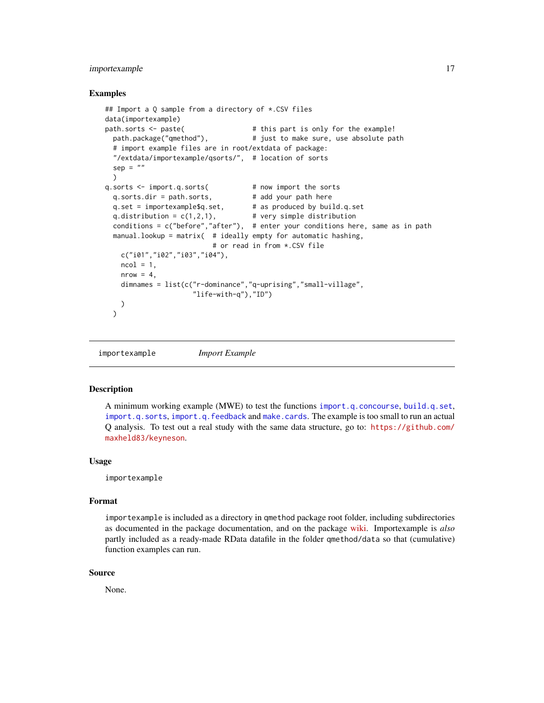## <span id="page-16-0"></span>importexample 17

#### Examples

```
## Import a Q sample from a directory of *.CSV files
data(importexample)
path.sorts <- paste( # this part is only for the example!
 path.package("qmethod"), # just to make sure, use absolute path
 # import example files are in root/extdata of package:
 "/extdata/importexample/qsorts/", # location of sorts
 sep = "")
q.sorts <- import.q.sorts( # now import the sorts
 q.sorts.dir = path.sorts, # add your path here
 q.set = importexample$q.set, # as produced by build.q.set
 q.distribution = c(1,2,1), # very simple distribution
 conditions = c("before","after"), # enter your conditions here, same as in path
 manual.lookup = matrix( # ideally empty for automatic hashing,
                         # or read in from *.CSV file
   c("i01","i02","i03","i04"),
   ncol = 1,
   nrow = 4,
   dimnames = list(c("r-dominance","q-uprising","small-village",
                    "life-with-q"),"ID")
   )
 )
```
importexample *Import Example*

#### **Description**

A minimum working example (MWE) to test the functions [import.q.concourse](#page-10-1), [build.q.set](#page-5-1), [import.q.sorts](#page-13-1), [import.q.feedback](#page-11-1) and [make.cards](#page-18-1). The example is too small to run an actual Q analysis. To test out a real study with the same data structure, go to: [https://github.com/](https://github.com/maxheld83/keyneson) [maxheld83/keyneson](https://github.com/maxheld83/keyneson).

#### Usage

importexample

#### Format

importexample is included as a directory in qmethod package root folder, including subdirectories as documented in the package documentation, and on the package [wiki.](https://github.com/aiorazabala/qmethod/wiki/Data-management) Importexample is *also* partly included as a ready-made RData datafile in the folder qmethod/data so that (cumulative) function examples can run.

#### Source

None.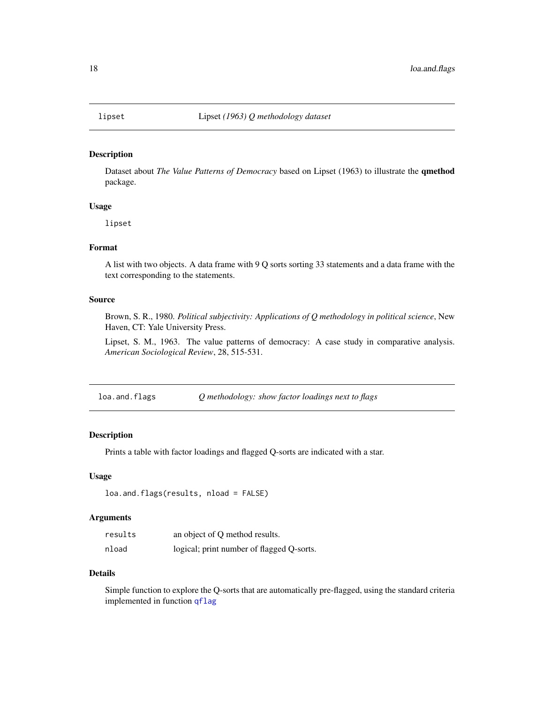<span id="page-17-0"></span>

Dataset about *The Value Patterns of Democracy* based on Lipset (1963) to illustrate the qmethod package.

#### Usage

lipset

## Format

A list with two objects. A data frame with 9 Q sorts sorting 33 statements and a data frame with the text corresponding to the statements.

#### Source

Brown, S. R., 1980. *Political subjectivity: Applications of Q methodology in political science*, New Haven, CT: Yale University Press.

Lipset, S. M., 1963. The value patterns of democracy: A case study in comparative analysis. *American Sociological Review*, 28, 515-531.

| loa.and.flags | Q methodology: show factor loadings next to flags |  |  |
|---------------|---------------------------------------------------|--|--|
|               |                                                   |  |  |

## Description

Prints a table with factor loadings and flagged Q-sorts are indicated with a star.

#### Usage

```
loa.and.flags(results, nload = FALSE)
```
## Arguments

| results | an object of Q method results.            |
|---------|-------------------------------------------|
| nload   | logical; print number of flagged Q-sorts. |

#### Details

Simple function to explore the Q-sorts that are automatically pre-flagged, using the standard criteria implemented in function [qflag](#page-30-1)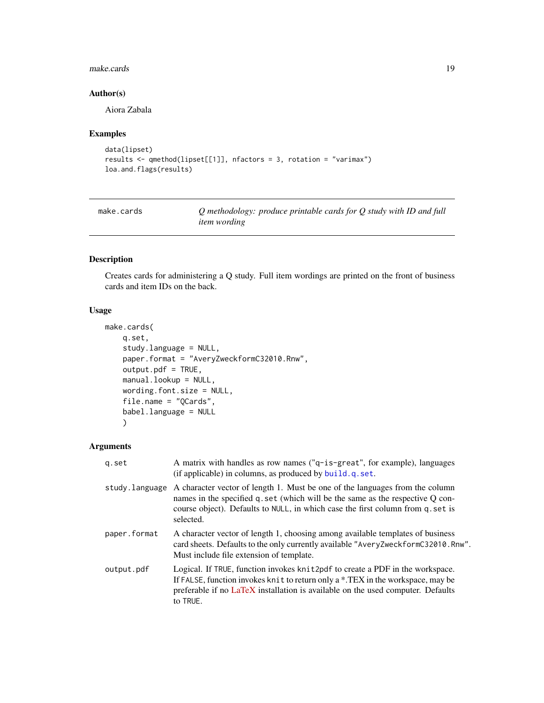#### <span id="page-18-0"></span>make.cards 19

## Author(s)

Aiora Zabala

## Examples

```
data(lipset)
results <- qmethod(lipset[[1]], nfactors = 3, rotation = "varimax")
loa.and.flags(results)
```
<span id="page-18-1"></span>make.cards *Q methodology: produce printable cards for Q study with ID and full item wording*

## Description

Creates cards for administering a Q study. Full item wordings are printed on the front of business cards and item IDs on the back.

## Usage

```
make.cards(
    q.set,
    study.language = NULL,
    paper.format = "AveryZweckformC32010.Rnw",
    output.pdf = TRUE,
    manual.lookup = NULL,
    wording.font.size = NULL,
    file.name = "QCards",
    babel.language = NULL
    \mathcal{L}
```
## Arguments

| g.set          | A matrix with handles as row names ("q-is-great", for example), languages<br>(if applicable) in columns, as produced by build.q.set.                                                                                                                            |
|----------------|-----------------------------------------------------------------------------------------------------------------------------------------------------------------------------------------------------------------------------------------------------------------|
| study.language | A character vector of length 1. Must be one of the languages from the column<br>names in the specified q set (which will be the same as the respective Q con-<br>course object). Defaults to NULL, in which case the first column from q. set is<br>selected.   |
| paper.format   | A character vector of length 1, choosing among available templates of business<br>card sheets. Defaults to the only currently available "AveryZweckformC32010.Rnw".<br>Must include file extension of template.                                                 |
| output.pdf     | Logical. If TRUE, function invokes knit2pdf to create a PDF in the workspace.<br>If FALSE, function invokes knit to return only a *.TEX in the workspace, may be<br>preferable if no LaTeX installation is available on the used computer. Defaults<br>to TRUE. |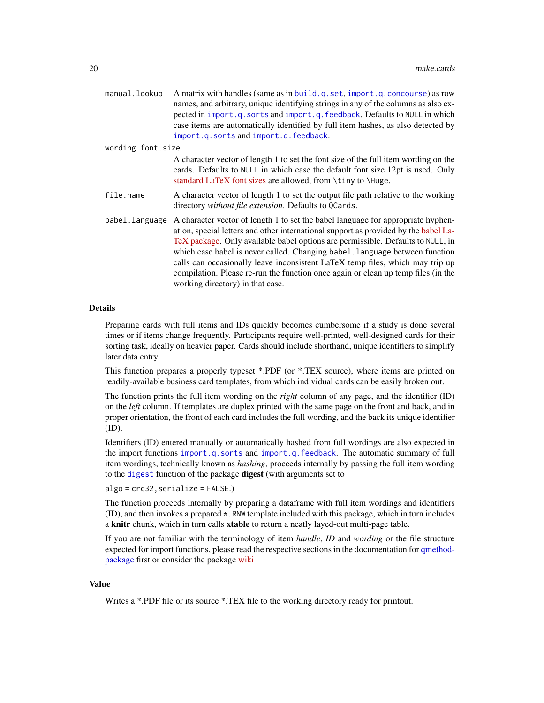<span id="page-19-0"></span>

| manual.lookup     | A matrix with handles (same as in build.q.set, import.q.concourse) as row<br>names, and arbitrary, unique identifying strings in any of the columns as also ex-<br>pected in import.q.sorts and import.q.feedback. Defaults to NULL in which<br>case items are automatically identified by full item hashes, as also detected by<br>import.q.sorts and import.q.feedback.                                                                                                                                                                           |
|-------------------|-----------------------------------------------------------------------------------------------------------------------------------------------------------------------------------------------------------------------------------------------------------------------------------------------------------------------------------------------------------------------------------------------------------------------------------------------------------------------------------------------------------------------------------------------------|
| wording.font.size |                                                                                                                                                                                                                                                                                                                                                                                                                                                                                                                                                     |
|                   | A character vector of length 1 to set the font size of the full item wording on the<br>cards. Defaults to NULL in which case the default font size 12pt is used. Only<br>standard LaTeX font sizes are allowed, from \tiny to \Huge.                                                                                                                                                                                                                                                                                                                |
| file.name         | A character vector of length 1 to set the output file path relative to the working<br>directory without file extension. Defaults to QCards.                                                                                                                                                                                                                                                                                                                                                                                                         |
| babel.language    | A character vector of length 1 to set the babel language for appropriate hyphen-<br>ation, special letters and other international support as provided by the babel La-<br>TeX package. Only available babel options are permissible. Defaults to NULL, in<br>which case babel is never called. Changing babel. language between function<br>calls can occasionally leave inconsistent LaTeX temp files, which may trip up<br>compilation. Please re-run the function once again or clean up temp files (in the<br>working directory) in that case. |

## Details

Preparing cards with full items and IDs quickly becomes cumbersome if a study is done several times or if items change frequently. Participants require well-printed, well-designed cards for their sorting task, ideally on heavier paper. Cards should include shorthand, unique identifiers to simplify later data entry.

This function prepares a properly typeset \*.PDF (or \*.TEX source), where items are printed on readily-available business card templates, from which individual cards can be easily broken out.

The function prints the full item wording on the *right* column of any page, and the identifier (ID) on the *left* column. If templates are duplex printed with the same page on the front and back, and in proper orientation, the front of each card includes the full wording, and the back its unique identifier (ID).

Identifiers (ID) entered manually or automatically hashed from full wordings are also expected in the import functions [import.q.sorts](#page-13-1) and [import.q.feedback](#page-11-1). The automatic summary of full item wordings, technically known as *hashing*, proceeds internally by passing the full item wording to the [digest](#page-0-0) function of the package digest (with arguments set to

algo = crc32,serialize = FALSE.)

The function proceeds internally by preparing a dataframe with full item wordings and identifiers (ID), and then invokes a prepared \*.RNW template included with this package, which in turn includes a knitr chunk, which in turn calls xtable to return a neatly layed-out multi-page table.

If you are not familiar with the terminology of item *handle*, *ID* and *wording* or the file structure expected for import functions, please read the respective sections in the documentation for [qmethod](#page-1-1)[package](#page-1-1) first or consider the package [wiki](https://github.com/aiorazabala/qmethod/wiki/Data-management)

#### Value

Writes a \*.PDF file or its source \*.TEX file to the working directory ready for printout.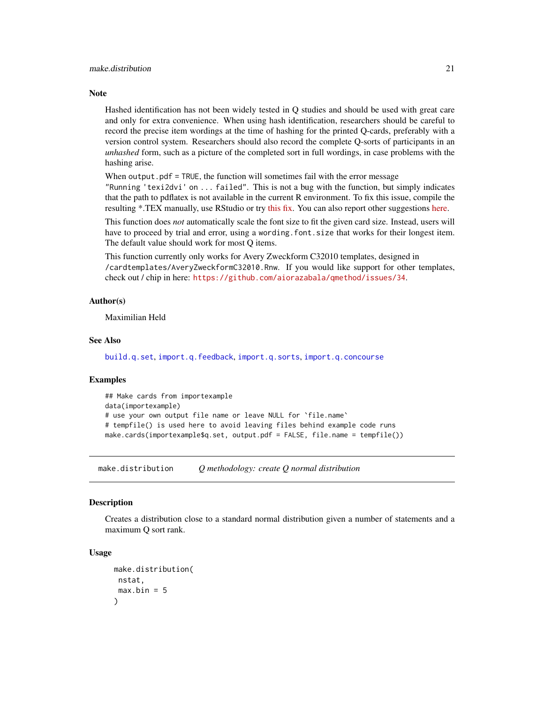#### <span id="page-20-0"></span>**Note**

Hashed identification has not been widely tested in Q studies and should be used with great care and only for extra convenience. When using hash identification, researchers should be careful to record the precise item wordings at the time of hashing for the printed Q-cards, preferably with a version control system. Researchers should also record the complete Q-sorts of participants in an *unhashed* form, such as a picture of the completed sort in full wordings, in case problems with the hashing arise.

When output.pdf = TRUE, the function will sometimes fail with the error message

"Running 'texi2dvi' on ... failed". This is not a bug with the function, but simply indicates that the path to pdflatex is not available in the current R environment. To fix this issue, compile the resulting \*.TEX manually, use RStudio or try [this fix.](http://www.r-bloggers.com/building-r-packages-missing-path-to-pdflatex/) You can also report other suggestions [here.](https://github.com/aiorazabala/qmethod/issues/110)

This function does *not* automatically scale the font size to fit the given card size. Instead, users will have to proceed by trial and error, using a wording.font.size that works for their longest item. The default value should work for most Q items.

This function currently only works for Avery Zweckform C32010 templates, designed in /cardtemplates/AveryZweckformC32010.Rnw. If you would like support for other templates, check out / chip in here: <https://github.com/aiorazabala/qmethod/issues/34>.

#### Author(s)

Maximilian Held

## See Also

[build.q.set](#page-5-1), [import.q.feedback](#page-11-1), [import.q.sorts](#page-13-1), [import.q.concourse](#page-10-1)

## **Examples**

```
## Make cards from importexample
data(importexample)
# use your own output file name or leave NULL for `file.name`
# tempfile() is used here to avoid leaving files behind example code runs
make.cards(importexample$q.set, output.pdf = FALSE, file.name = tempfile())
```
make.distribution *Q methodology: create Q normal distribution*

## **Description**

Creates a distribution close to a standard normal distribution given a number of statements and a maximum Q sort rank.

#### Usage

```
make.distribution(
nstat,
max.bin = 5)
```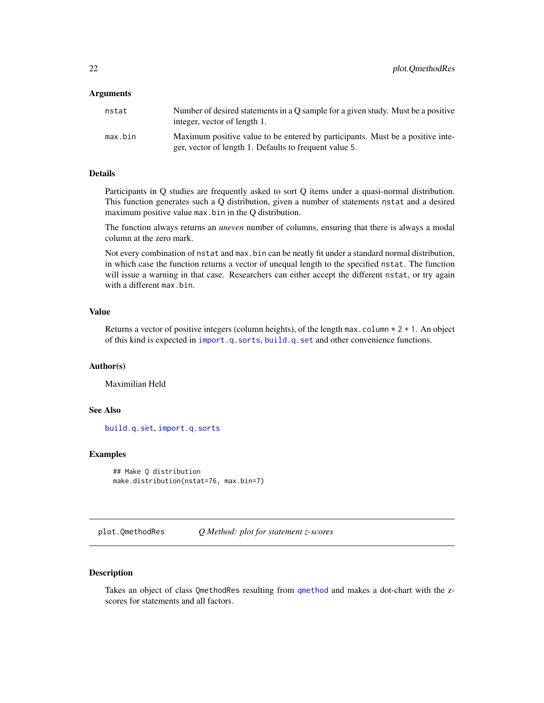#### <span id="page-21-0"></span>**Arguments**

| nstat   | Number of desired statements in a O sample for a given study. Must be a positive<br>integer, vector of length 1.                         |
|---------|------------------------------------------------------------------------------------------------------------------------------------------|
| max.bin | Maximum positive value to be entered by participants. Must be a positive inte-<br>ger, vector of length 1. Defaults to frequent value 5. |

#### Details

Participants in Q studies are frequently asked to sort Q items under a quasi-normal distribution. This function generates such a Q distribution, given a number of statements nstat and a desired maximum positive value max.bin in the Q distribution.

The function always returns an *uneven* number of columns, ensuring that there is always a modal column at the zero mark.

Not every combination of nstat and max.bin can be neatly fit under a standard normal distribution, in which case the function returns a vector of unequal length to the specified nstat. The function will issue a warning in that case. Researchers can either accept the different nstat, or try again with a different max.bin.

## Value

Returns a vector of positive integers (column heights), of the length max.column  $* 2 + 1$ . An object of this kind is expected in [import.q.sorts](#page-13-1), [build.q.set](#page-5-1) and other convenience functions.

## Author(s)

Maximilian Held

## See Also

[build.q.set](#page-5-1), [import.q.sorts](#page-13-1)

## Examples

```
## Make Q distribution
make.distribution(nstat=76, max.bin=7)
```
<span id="page-21-1"></span>plot.QmethodRes *Q Method: plot for statement z-scores*

#### Description

Takes an object of class QmethodRes resulting from [qmethod](#page-39-1) and makes a dot-chart with the zscores for statements and all factors.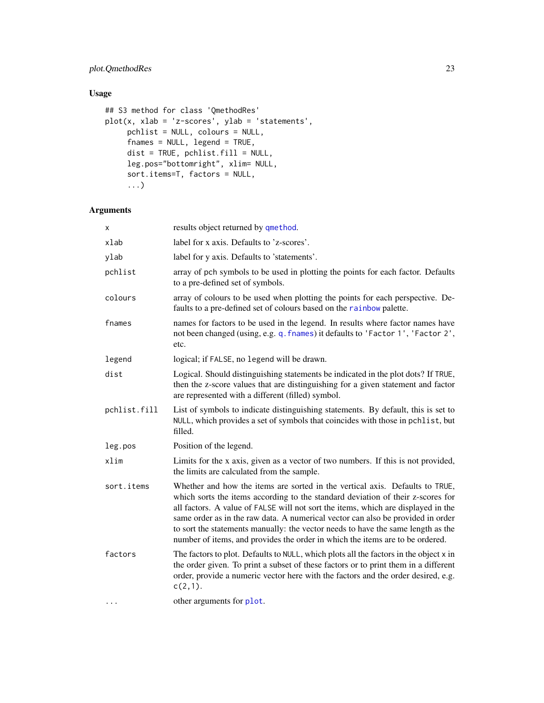## <span id="page-22-0"></span>plot.QmethodRes 23

## Usage

```
## S3 method for class 'QmethodRes'
plot(x, xlab = 'z-scores', ylab = 'statements',
     pchlist = NULL, colours = NULL,
     fnames = NULL, legend = TRUE,
     dist = TRUE, pchlist.fill = NULL,
     leg.pos="bottomright", xlim= NULL,
     sort.items=T, factors = NULL,
     ...)
```
## Arguments

| x            | results object returned by qmethod.                                                                                                                                                                                                                                                                                                                                                                                                                                                                          |
|--------------|--------------------------------------------------------------------------------------------------------------------------------------------------------------------------------------------------------------------------------------------------------------------------------------------------------------------------------------------------------------------------------------------------------------------------------------------------------------------------------------------------------------|
| xlab         | label for x axis. Defaults to 'z-scores'.                                                                                                                                                                                                                                                                                                                                                                                                                                                                    |
| ylab         | label for y axis. Defaults to 'statements'.                                                                                                                                                                                                                                                                                                                                                                                                                                                                  |
| pchlist      | array of pch symbols to be used in plotting the points for each factor. Defaults<br>to a pre-defined set of symbols.                                                                                                                                                                                                                                                                                                                                                                                         |
| colours      | array of colours to be used when plotting the points for each perspective. De-<br>faults to a pre-defined set of colours based on the rainbow palette.                                                                                                                                                                                                                                                                                                                                                       |
| fnames       | names for factors to be used in the legend. In results where factor names have<br>not been changed (using, e.g. q. fnames) it defaults to 'Factor 1', 'Factor 2',<br>etc.                                                                                                                                                                                                                                                                                                                                    |
| legend       | logical; if FALSE, no legend will be drawn.                                                                                                                                                                                                                                                                                                                                                                                                                                                                  |
| dist         | Logical. Should distinguishing statements be indicated in the plot dots? If TRUE,<br>then the z-score values that are distinguishing for a given statement and factor<br>are represented with a different (filled) symbol.                                                                                                                                                                                                                                                                                   |
| pchlist.fill | List of symbols to indicate distinguishing statements. By default, this is set to<br>NULL, which provides a set of symbols that coincides with those in pchlist, but<br>filled.                                                                                                                                                                                                                                                                                                                              |
| leg.pos      | Position of the legend.                                                                                                                                                                                                                                                                                                                                                                                                                                                                                      |
| xlim         | Limits for the x axis, given as a vector of two numbers. If this is not provided,<br>the limits are calculated from the sample.                                                                                                                                                                                                                                                                                                                                                                              |
| sort.items   | Whether and how the items are sorted in the vertical axis. Defaults to TRUE,<br>which sorts the items according to the standard deviation of their z-scores for<br>all factors. A value of FALSE will not sort the items, which are displayed in the<br>same order as in the raw data. A numerical vector can also be provided in order<br>to sort the statements manually: the vector needs to have the same length as the<br>number of items, and provides the order in which the items are to be ordered. |
| factors      | The factors to plot. Defaults to NULL, which plots all the factors in the object x in<br>the order given. To print a subset of these factors or to print them in a different<br>order, provide a numeric vector here with the factors and the order desired, e.g.<br>$c(2,1)$ .                                                                                                                                                                                                                              |
|              | other arguments for plot.                                                                                                                                                                                                                                                                                                                                                                                                                                                                                    |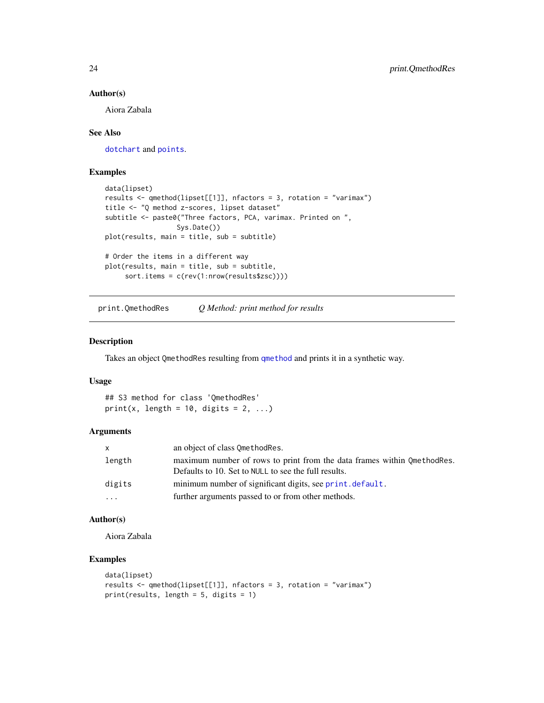#### Author(s)

Aiora Zabala

## See Also

[dotchart](#page-0-0) and [points](#page-0-0).

## Examples

```
data(lipset)
results <- qmethod(lipset[[1]], nfactors = 3, rotation = "varimax")
title <- "Q method z-scores, lipset dataset"
subtitle <- paste0("Three factors, PCA, varimax. Printed on ",
                  Sys.Date())
plot(results, main = title, sub = subtitle)
# Order the items in a different way
plot(results, main = title, sub = subtitle,
     sort.items = c(rev(1:nrow(results$zsc))))
```
<span id="page-23-1"></span>print.QmethodRes *Q Method: print method for results*

## Description

Takes an object QmethodRes resulting from [qmethod](#page-39-1) and prints it in a synthetic way.

#### Usage

## S3 method for class 'QmethodRes' print(x, length =  $10$ , digits =  $2$ , ...)

#### Arguments

| X        | an object of class OmethodRes.                                                                                                    |
|----------|-----------------------------------------------------------------------------------------------------------------------------------|
| length   | maximum number of rows to print from the data frames within 0 method Res.<br>Defaults to 10. Set to NULL to see the full results. |
| digits   | minimum number of significant digits, see print. default.                                                                         |
| $\cdots$ | further arguments passed to or from other methods.                                                                                |

#### Author(s)

Aiora Zabala

```
data(lipset)
results <- qmethod(lipset[[1]], nfactors = 3, rotation = "varimax")
print(results, length = 5, digits = 1)
```
<span id="page-23-0"></span>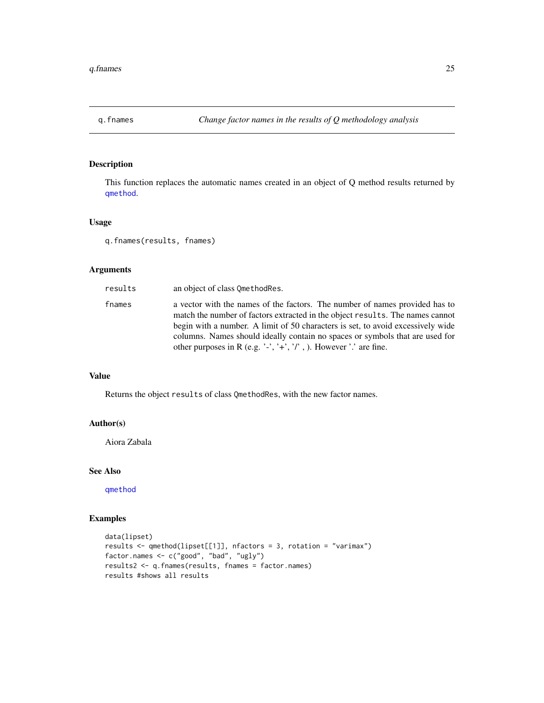<span id="page-24-1"></span><span id="page-24-0"></span>

This function replaces the automatic names created in an object of Q method results returned by [qmethod](#page-39-1).

#### Usage

```
q.fnames(results, fnames)
```
## Arguments

| results | an object of class OmethodRes.                                                                                                                                                                                                                                                                                                                                                                       |
|---------|------------------------------------------------------------------------------------------------------------------------------------------------------------------------------------------------------------------------------------------------------------------------------------------------------------------------------------------------------------------------------------------------------|
| fnames  | a vector with the names of the factors. The number of names provided has to<br>match the number of factors extracted in the object results. The names cannot<br>begin with a number. A limit of 50 characters is set, to avoid excessively wide<br>columns. Names should ideally contain no spaces or symbols that are used for<br>other purposes in R (e.g. '-', '+', '/', ). However '.' are fine. |

## Value

Returns the object results of class QmethodRes, with the new factor names.

## Author(s)

Aiora Zabala

#### See Also

[qmethod](#page-39-1)

```
data(lipset)
results <- qmethod(lipset[[1]], nfactors = 3, rotation = "varimax")
factor.names <- c("good", "bad", "ugly")
results2 <- q.fnames(results, fnames = factor.names)
results #shows all results
```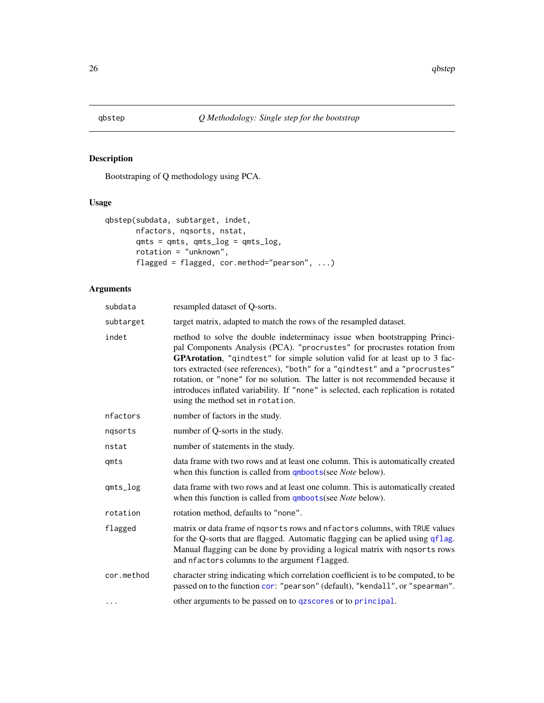<span id="page-25-1"></span><span id="page-25-0"></span>

Bootstraping of Q methodology using PCA.

## Usage

```
qbstep(subdata, subtarget, indet,
       nfactors, nqsorts, nstat,
       qmts = qmts, qmts_log = qmts_log,
       rotation = "unknown",
       flagged = flagged, cor.method="pearson", ...)
```
## Arguments

| subdata    | resampled dataset of Q-sorts.                                                                                                                                                                                                                                                                                                                                                                                                                                                                                                    |
|------------|----------------------------------------------------------------------------------------------------------------------------------------------------------------------------------------------------------------------------------------------------------------------------------------------------------------------------------------------------------------------------------------------------------------------------------------------------------------------------------------------------------------------------------|
| subtarget  | target matrix, adapted to match the rows of the resampled dataset.                                                                                                                                                                                                                                                                                                                                                                                                                                                               |
| indet      | method to solve the double indeterminacy issue when bootstrapping Princi-<br>pal Components Analysis (PCA). "procrustes" for procrustes rotation from<br>GPArotation, "qindtest" for simple solution valid for at least up to 3 fac-<br>tors extracted (see references), "both" for a "qindtest" and a "procrustes"<br>rotation, or "none" for no solution. The latter is not recommended because it<br>introduces inflated variability. If "none" is selected, each replication is rotated<br>using the method set in rotation. |
| nfactors   | number of factors in the study.                                                                                                                                                                                                                                                                                                                                                                                                                                                                                                  |
| ngsorts    | number of Q-sorts in the study.                                                                                                                                                                                                                                                                                                                                                                                                                                                                                                  |
| nstat      | number of statements in the study.                                                                                                                                                                                                                                                                                                                                                                                                                                                                                               |
| qmts       | data frame with two rows and at least one column. This is automatically created<br>when this function is called from $\frac{ \text{qmboots}}{ \text{g}}$ (see <i>Note</i> below).                                                                                                                                                                                                                                                                                                                                                |
| qmts_log   | data frame with two rows and at least one column. This is automatically created<br>when this function is called from $\frac{ \text{qmboots}}{ \text{g}}$ (see <i>Note</i> below).                                                                                                                                                                                                                                                                                                                                                |
| rotation   | rotation method, defaults to "none".                                                                                                                                                                                                                                                                                                                                                                                                                                                                                             |
| flagged    | matrix or data frame of ngsorts rows and nfactors columns, with TRUE values<br>for the Q-sorts that are flagged. Automatic flagging can be aplied using qflag.<br>Manual flagging can be done by providing a logical matrix with nqsorts rows<br>and nfactors columns to the argument flagged.                                                                                                                                                                                                                                   |
| cor.method | character string indicating which correlation coefficient is to be computed, to be<br>passed on to the function cor: "pearson" (default), "kendall", or "spearman".                                                                                                                                                                                                                                                                                                                                                              |
| .          | other arguments to be passed on to qzscores or to principal.                                                                                                                                                                                                                                                                                                                                                                                                                                                                     |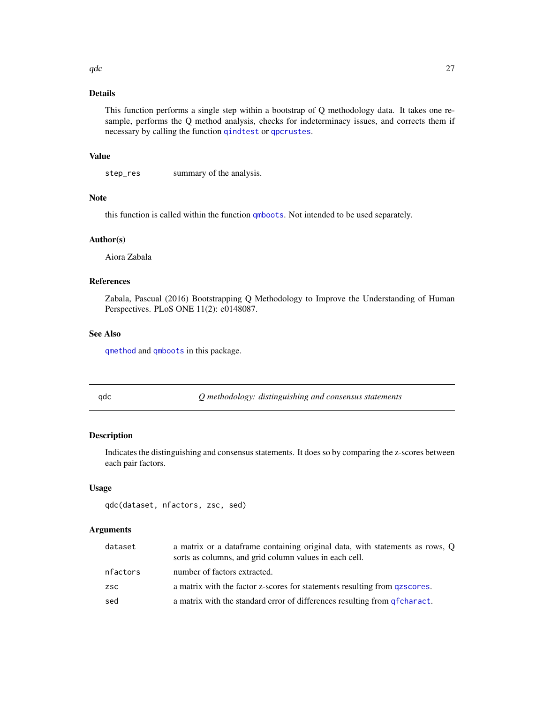## <span id="page-26-0"></span>Details

This function performs a single step within a bootstrap of Q methodology data. It takes one resample, performs the Q method analysis, checks for indeterminacy issues, and corrects them if necessary by calling the function [qindtest](#page-32-1) or [qpcrustes](#page-42-1).

## Value

step\_res summary of the analysis.

## Note

this function is called within the function [qmboots](#page-37-1). Not intended to be used separately.

## Author(s)

Aiora Zabala

#### References

Zabala, Pascual (2016) Bootstrapping Q Methodology to Improve the Understanding of Human Perspectives. PLoS ONE 11(2): e0148087.

## See Also

[qmethod](#page-39-1) and [qmboots](#page-37-1) in this package.

<span id="page-26-1"></span>qdc *Q methodology: distinguishing and consensus statements*

## Description

Indicates the distinguishing and consensus statements. It does so by comparing the z-scores between each pair factors.

## Usage

qdc(dataset, nfactors, zsc, sed)

#### Arguments

| dataset    | a matrix or a dataframe containing original data, with statements as rows, Q<br>sorts as columns, and grid column values in each cell. |
|------------|----------------------------------------------------------------------------------------------------------------------------------------|
| nfactors   | number of factors extracted.                                                                                                           |
| <b>ZSC</b> | a matrix with the factor z-scores for statements resulting from gzscores.                                                              |
| sed        | a matrix with the standard error of differences resulting from <i>g</i> fcharact.                                                      |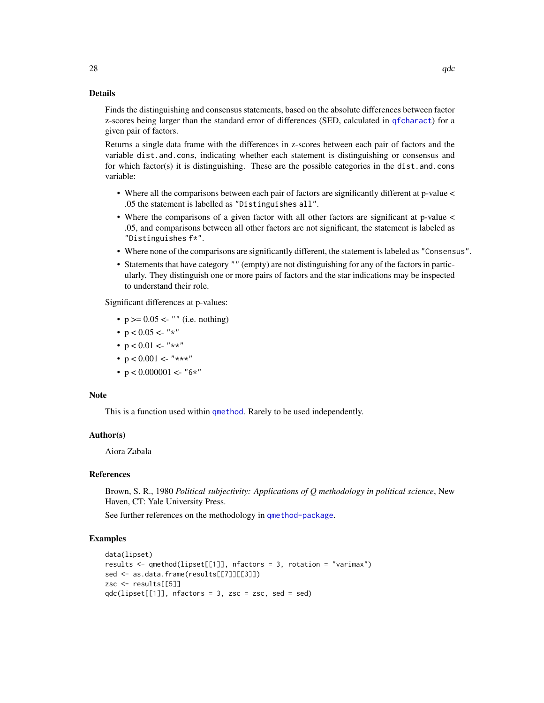#### Details

Finds the distinguishing and consensus statements, based on the absolute differences between factor z-scores being larger than the standard error of differences (SED, calculated in [qfcharact](#page-28-1)) for a given pair of factors.

Returns a single data frame with the differences in z-scores between each pair of factors and the variable dist.and.cons, indicating whether each statement is distinguishing or consensus and for which factor(s) it is distinguishing. These are the possible categories in the dist.and.cons variable:

- Where all the comparisons between each pair of factors are significantly different at p-value < .05 the statement is labelled as "Distinguishes all".
- Where the comparisons of a given factor with all other factors are significant at p-value  $\lt$ .05, and comparisons between all other factors are not significant, the statement is labeled as "Distinguishes f\*".
- Where none of the comparisons are significantly different, the statement is labeled as "Consensus".
- Statements that have category "" (empty) are not distinguishing for any of the factors in particularly. They distinguish one or more pairs of factors and the star indications may be inspected to understand their role.

Significant differences at p-values:

- $p \ge 0.05$  <- "" (i.e. nothing)
- $p < 0.05 < -$  "\*"
- $p < 0.01 < "***"$
- $p < 0.001 < "***"$
- $p < 0.000001 < -$  "6\*"

#### Note

This is a function used within [qmethod](#page-39-1). Rarely to be used independently.

#### Author(s)

Aiora Zabala

## References

Brown, S. R., 1980 *Political subjectivity: Applications of Q methodology in political science*, New Haven, CT: Yale University Press.

See further references on the methodology in [qmethod-package](#page-1-1).

```
data(lipset)
results \leq qmethod(lipset[[1]], nfactors = 3, rotation = "varimax")
sed <- as.data.frame(results[[7]][[3]])
zsc <- results[[5]]
qdc(lipset[[1]], nfactors = 3, zsc = zsc, sed = sed)
```
<span id="page-27-0"></span>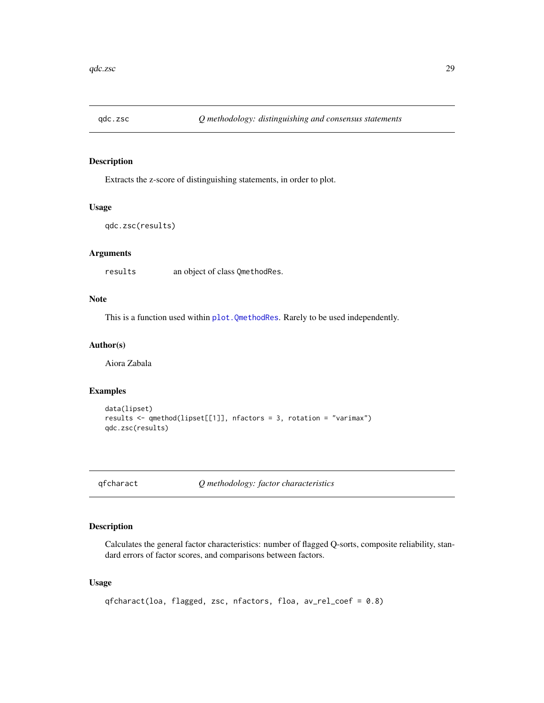<span id="page-28-0"></span>

Extracts the z-score of distinguishing statements, in order to plot.

#### Usage

```
qdc.zsc(results)
```
## Arguments

results an object of class QmethodRes.

## Note

This is a function used within [plot.QmethodRes](#page-21-1). Rarely to be used independently.

## Author(s)

Aiora Zabala

## Examples

```
data(lipset)
results <- qmethod(lipset[[1]], nfactors = 3, rotation = "varimax")
qdc.zsc(results)
```
<span id="page-28-1"></span>qfcharact *Q methodology: factor characteristics*

## Description

Calculates the general factor characteristics: number of flagged Q-sorts, composite reliability, standard errors of factor scores, and comparisons between factors.

#### Usage

```
qfcharact(loa, flagged, zsc, nfactors, floa, av_rel_coef = 0.8)
```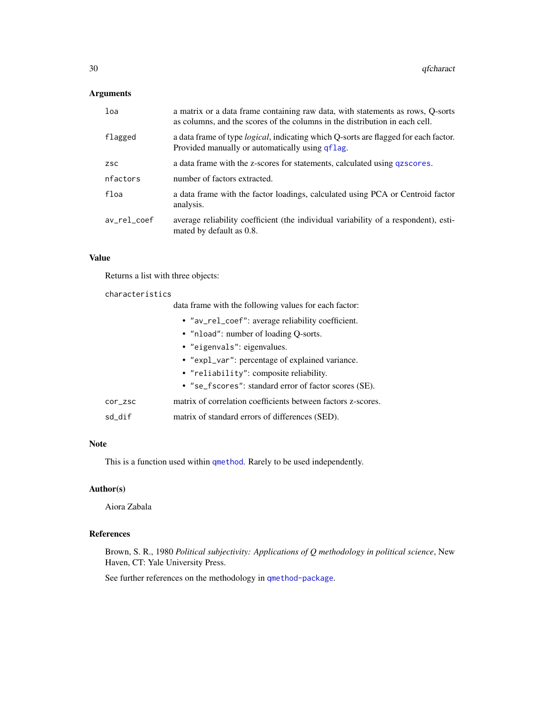#### <span id="page-29-0"></span>Arguments

| loa         | a matrix or a data frame containing raw data, with statements as rows, Q-sorts<br>as columns, and the scores of the columns in the distribution in each cell. |
|-------------|---------------------------------------------------------------------------------------------------------------------------------------------------------------|
| flagged     | a data frame of type <i>logical</i> , indicating which Q-sorts are flagged for each factor.<br>Provided manually or automatically using qflag.                |
| <b>ZSC</b>  | a data frame with the z-scores for statements, calculated using qzscores.                                                                                     |
| nfactors    | number of factors extracted.                                                                                                                                  |
| floa        | a data frame with the factor loadings, calculated using PCA or Centroid factor<br>analysis.                                                                   |
| av_rel_coef | average reliability coefficient (the individual variability of a respondent), esti-<br>mated by default as 0.8.                                               |

## Value

Returns a list with three objects:

## characteristics

data frame with the following values for each factor:

- "av\_rel\_coef": average reliability coefficient.
- "nload": number of loading Q-sorts.
- "eigenvals": eigenvalues.
- "expl\_var": percentage of explained variance.
- "reliability": composite reliability.
- "se\_fscores": standard error of factor scores (SE).
- cor\_zsc matrix of correlation coefficients between factors z-scores.
- sd\_dif matrix of standard errors of differences (SED).

## Note

This is a function used within [qmethod](#page-39-1). Rarely to be used independently.

## Author(s)

Aiora Zabala

## References

Brown, S. R., 1980 *Political subjectivity: Applications of Q methodology in political science*, New Haven, CT: Yale University Press.

See further references on the methodology in [qmethod-package](#page-1-1).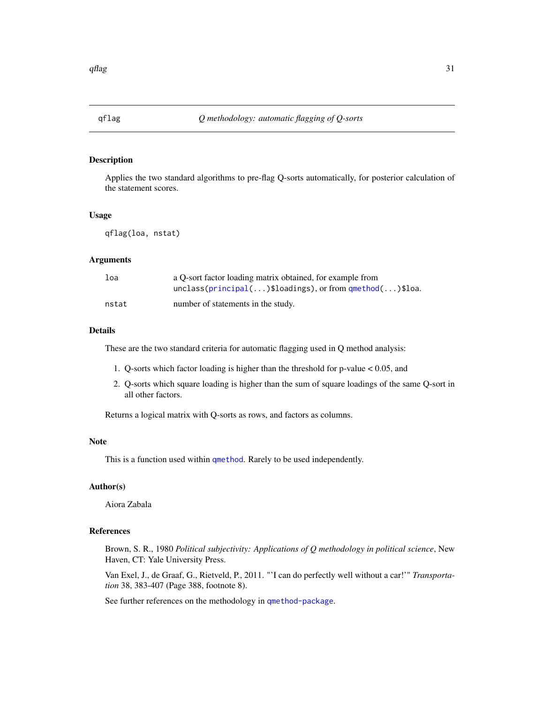<span id="page-30-1"></span><span id="page-30-0"></span>

Applies the two standard algorithms to pre-flag Q-sorts automatically, for posterior calculation of the statement scores.

#### Usage

qflag(loa, nstat)

#### Arguments

| loa   | a O-sort factor loading matrix obtained, for example from<br>$unclass(principal() $loadings), or from q method() $loa.$ |
|-------|-------------------------------------------------------------------------------------------------------------------------|
| nstat | number of statements in the study.                                                                                      |

#### Details

These are the two standard criteria for automatic flagging used in Q method analysis:

- 1. Q-sorts which factor loading is higher than the threshold for p-value < 0.05, and
- 2. Q-sorts which square loading is higher than the sum of square loadings of the same Q-sort in all other factors.

Returns a logical matrix with Q-sorts as rows, and factors as columns.

#### Note

This is a function used within [qmethod](#page-39-1). Rarely to be used independently.

#### Author(s)

Aiora Zabala

## References

Brown, S. R., 1980 *Political subjectivity: Applications of Q methodology in political science*, New Haven, CT: Yale University Press.

Van Exel, J., de Graaf, G., Rietveld, P., 2011. "'I can do perfectly well without a car!'" *Transportation* 38, 383-407 (Page 388, footnote 8).

See further references on the methodology in [qmethod-package](#page-1-1).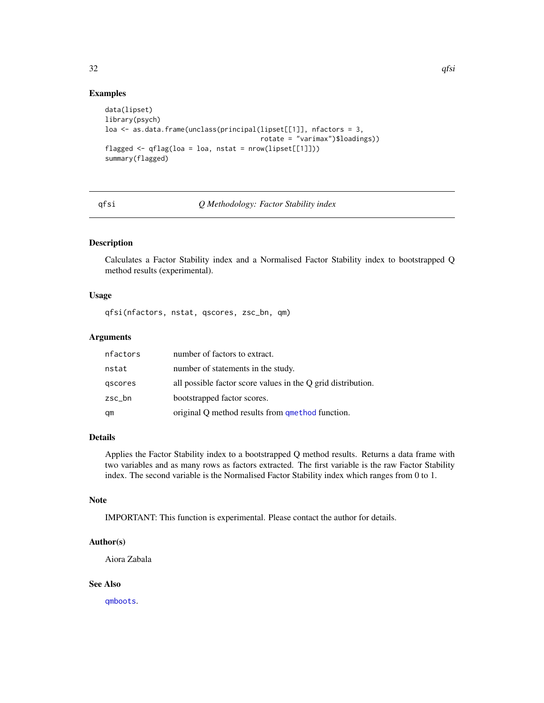## <span id="page-31-0"></span>Examples

```
data(lipset)
library(psych)
loa <- as.data.frame(unclass(principal(lipset[[1]], nfactors = 3,
                                       rotate = "varimax")$loadings))
flagged <- qflag(loa = loa, nstat = nrow(lipset[[1]]))
summary(flagged)
```
## qfsi *Q Methodology: Factor Stability index*

## Description

Calculates a Factor Stability index and a Normalised Factor Stability index to bootstrapped Q method results (experimental).

## Usage

qfsi(nfactors, nstat, qscores, zsc\_bn, qm)

## Arguments

| nfactors | number of factors to extract.                                |
|----------|--------------------------------------------------------------|
| nstat    | number of statements in the study.                           |
| gscores  | all possible factor score values in the Q grid distribution. |
| zsc_bn   | bootstrapped factor scores.                                  |
| qm       | original Q method results from qmethod function.             |

## Details

Applies the Factor Stability index to a bootstrapped Q method results. Returns a data frame with two variables and as many rows as factors extracted. The first variable is the raw Factor Stability index. The second variable is the Normalised Factor Stability index which ranges from 0 to 1.

#### Note

IMPORTANT: This function is experimental. Please contact the author for details.

#### Author(s)

Aiora Zabala

#### See Also

[qmboots](#page-37-1).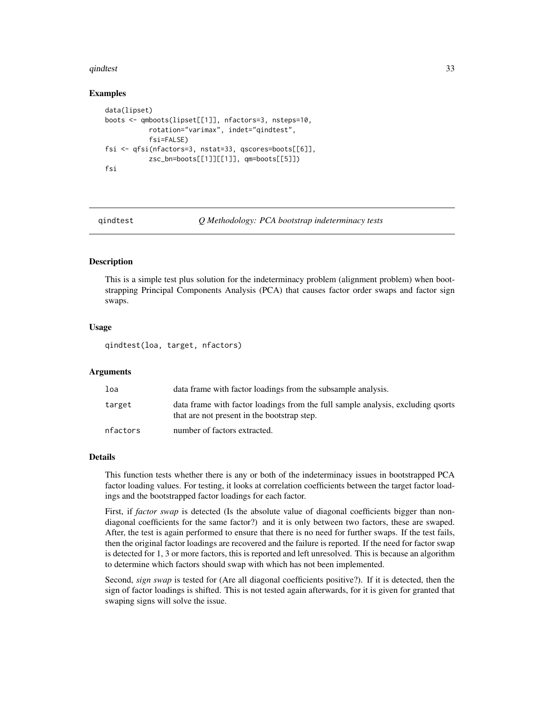#### <span id="page-32-0"></span>qindtest 33

#### Examples

```
data(lipset)
boots <- qmboots(lipset[[1]], nfactors=3, nsteps=10,
           rotation="varimax", indet="qindtest",
           fsi=FALSE)
fsi <- qfsi(nfactors=3, nstat=33, qscores=boots[[6]],
           zsc_bn=boots[[1]][[1]], qm=boots[[5]])
fsi
```
<span id="page-32-1"></span>

qindtest *Q Methodology: PCA bootstrap indeterminacy tests*

#### Description

This is a simple test plus solution for the indeterminacy problem (alignment problem) when bootstrapping Principal Components Analysis (PCA) that causes factor order swaps and factor sign swaps.

#### Usage

qindtest(loa, target, nfactors)

#### Arguments

| loa      | data frame with factor loadings from the subsample analysis.                                                                   |
|----------|--------------------------------------------------------------------------------------------------------------------------------|
| target   | data frame with factor loadings from the full sample analysis, excluding qsorts<br>that are not present in the bootstrap step. |
| nfactors | number of factors extracted.                                                                                                   |

#### Details

This function tests whether there is any or both of the indeterminacy issues in bootstrapped PCA factor loading values. For testing, it looks at correlation coefficients between the target factor loadings and the bootstrapped factor loadings for each factor.

First, if *factor swap* is detected (Is the absolute value of diagonal coefficients bigger than nondiagonal coefficients for the same factor?) and it is only between two factors, these are swaped. After, the test is again performed to ensure that there is no need for further swaps. If the test fails, then the original factor loadings are recovered and the failure is reported. If the need for factor swap is detected for 1, 3 or more factors, this is reported and left unresolved. This is because an algorithm to determine which factors should swap with which has not been implemented.

Second, *sign swap* is tested for (Are all diagonal coefficients positive?). If it is detected, then the sign of factor loadings is shifted. This is not tested again afterwards, for it is given for granted that swaping signs will solve the issue.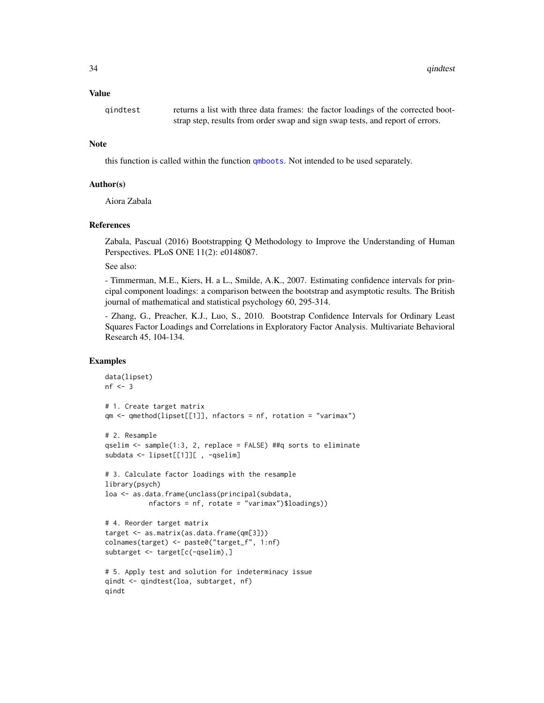<span id="page-33-0"></span>34 qindtest

#### Value

qindtest returns a list with three data frames: the factor loadings of the corrected bootstrap step, results from order swap and sign swap tests, and report of errors.

#### Note

this function is called within the function [qmboots](#page-37-1). Not intended to be used separately.

## Author(s)

Aiora Zabala

## References

Zabala, Pascual (2016) Bootstrapping Q Methodology to Improve the Understanding of Human Perspectives. PLoS ONE 11(2): e0148087.

See also:

- Timmerman, M.E., Kiers, H. a L., Smilde, A.K., 2007. Estimating confidence intervals for principal component loadings: a comparison between the bootstrap and asymptotic results. The British journal of mathematical and statistical psychology 60, 295-314.

- Zhang, G., Preacher, K.J., Luo, S., 2010. Bootstrap Confidence Intervals for Ordinary Least Squares Factor Loadings and Correlations in Exploratory Factor Analysis. Multivariate Behavioral Research 45, 104-134.

```
data(lipset)
nf < -3# 1. Create target matrix
qm <- qmethod(lipset[[1]], nfactors = nf, rotation = "varimax")
# 2. Resample
qselim <- sample(1:3, 2, replace = FALSE) ##q sorts to eliminate
subdata <- lipset[[1]][ , -qselim]
# 3. Calculate factor loadings with the resample
library(psych)
loa <- as.data.frame(unclass(principal(subdata,
           nfactors = nf, rotate = "varimax")$loadings))
# 4. Reorder target matrix
target <- as.matrix(as.data.frame(qm[3]))
colnames(target) <- paste0("target_f", 1:nf)
subtarget <- target[c(-qselim),]
# 5. Apply test and solution for indeterminacy issue
qindt <- qindtest(loa, subtarget, nf)
qindt
```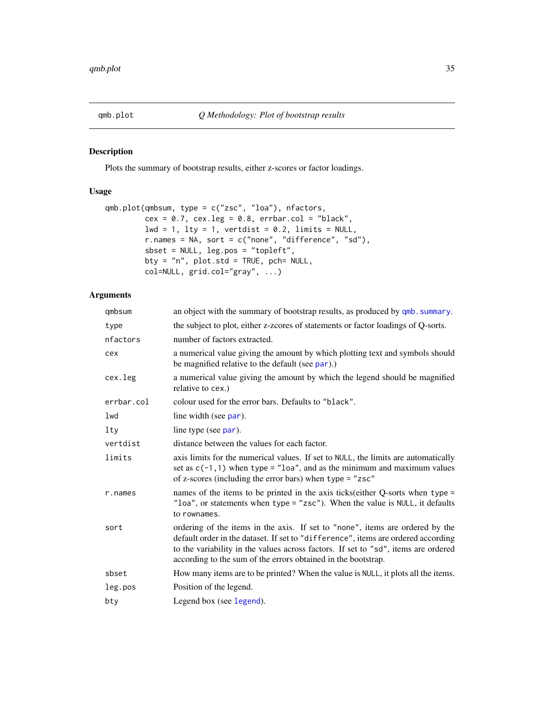<span id="page-34-1"></span><span id="page-34-0"></span>

Plots the summary of bootstrap results, either z-scores or factor loadings.

## Usage

```
qmb.plot(qmbsum, type = c("zsc", "loa"), nfactors,
        cex = 0.7, cex.leg = 0.8, erbar.col = "black",1wd = 1, 1ty = 1, vertdist = 0.2, 1imits = NULL,
        r.names = NA, sort = c("none", "difference", "sd"),
         sbset = NULL, leg.pos = "topleft",
        bty = "n", plot.std = TRUE, pch= NULL,
         col=NULL, grid.col="gray", ...)
```
## Arguments

| qmbsum     | an object with the summary of bootstrap results, as produced by qmb. summary.                                                                                                                                                                                                                                             |
|------------|---------------------------------------------------------------------------------------------------------------------------------------------------------------------------------------------------------------------------------------------------------------------------------------------------------------------------|
| type       | the subject to plot, either z-zcores of statements or factor loadings of Q-sorts.                                                                                                                                                                                                                                         |
| nfactors   | number of factors extracted.                                                                                                                                                                                                                                                                                              |
| cex        | a numerical value giving the amount by which plotting text and symbols should<br>be magnified relative to the default (see par).)                                                                                                                                                                                         |
| cex.leg    | a numerical value giving the amount by which the legend should be magnified<br>relative to cex.)                                                                                                                                                                                                                          |
| errbar.col | colour used for the error bars. Defaults to "black".                                                                                                                                                                                                                                                                      |
| lwd        | line width (see par).                                                                                                                                                                                                                                                                                                     |
| lty        | line type (see par).                                                                                                                                                                                                                                                                                                      |
| vertdist   | distance between the values for each factor.                                                                                                                                                                                                                                                                              |
| limits     | axis limits for the numerical values. If set to NULL, the limits are automatically<br>set as $c(-1, 1)$ when type = "loa", and as the minimum and maximum values<br>of z-scores (including the error bars) when type = "zsc"                                                                                              |
| r.names    | names of the items to be printed in the axis ticks (either Q-sorts when type $=$<br>"loa", or statements when type = "zsc"). When the value is $NULL$ , it defaults<br>to rownames.                                                                                                                                       |
| sort       | ordering of the items in the axis. If set to "none", items are ordered by the<br>default order in the dataset. If set to "difference", items are ordered according<br>to the variability in the values across factors. If set to "sd", items are ordered<br>according to the sum of the errors obtained in the bootstrap. |
| sbset      | How many items are to be printed? When the value is NULL, it plots all the items.                                                                                                                                                                                                                                         |
| leg.pos    | Position of the legend.                                                                                                                                                                                                                                                                                                   |
| bty        | Legend box (see legend).                                                                                                                                                                                                                                                                                                  |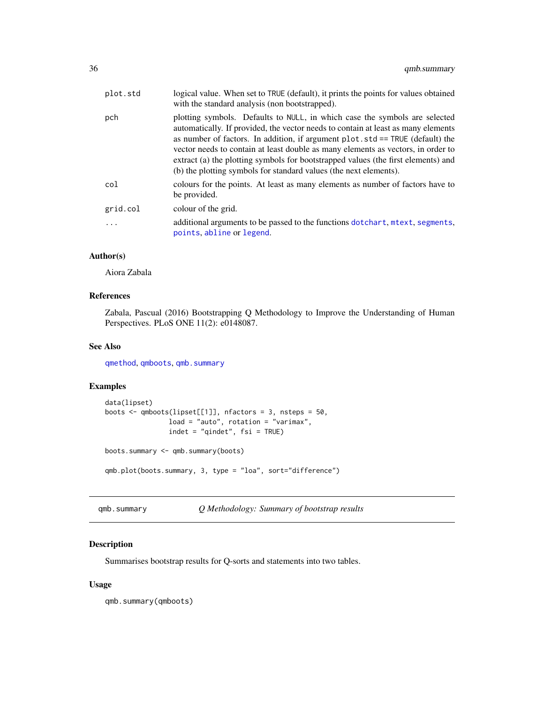<span id="page-35-0"></span>

| plot.std | logical value. When set to TRUE (default), it prints the points for values obtained<br>with the standard analysis (non bootstrapped).                                                                                                                                                                                                                                                                                                                                                             |
|----------|---------------------------------------------------------------------------------------------------------------------------------------------------------------------------------------------------------------------------------------------------------------------------------------------------------------------------------------------------------------------------------------------------------------------------------------------------------------------------------------------------|
| pch      | plotting symbols. Defaults to NULL, in which case the symbols are selected<br>automatically. If provided, the vector needs to contain at least as many elements<br>as number of factors. In addition, if argument $plot. std == TRUE$ (default) the<br>vector needs to contain at least double as many elements as vectors, in order to<br>extract (a) the plotting symbols for bootstrapped values (the first elements) and<br>(b) the plotting symbols for standard values (the next elements). |
| col      | colours for the points. At least as many elements as number of factors have to<br>be provided.                                                                                                                                                                                                                                                                                                                                                                                                    |
| grid.col | colour of the grid.                                                                                                                                                                                                                                                                                                                                                                                                                                                                               |
| .        | additional arguments to be passed to the functions dotchart, mtext, segments,<br>points, abline or legend.                                                                                                                                                                                                                                                                                                                                                                                        |

## Author(s)

Aiora Zabala

## References

Zabala, Pascual (2016) Bootstrapping Q Methodology to Improve the Understanding of Human Perspectives. PLoS ONE 11(2): e0148087.

## See Also

[qmethod](#page-39-1), [qmboots](#page-37-1), [qmb.summary](#page-35-1)

## Examples

```
data(lipset)
boots <- qmboots(lipset[[1]], nfactors = 3, nsteps = 50,
                load = "auto", rotation = "varimax",
                indet = "qindet", fsi = TRUE)
boots.summary <- qmb.summary(boots)
```
qmb.plot(boots.summary, 3, type = "loa", sort="difference")

<span id="page-35-1"></span>qmb.summary *Q Methodology: Summary of bootstrap results*

## Description

Summarises bootstrap results for Q-sorts and statements into two tables.

## Usage

qmb.summary(qmboots)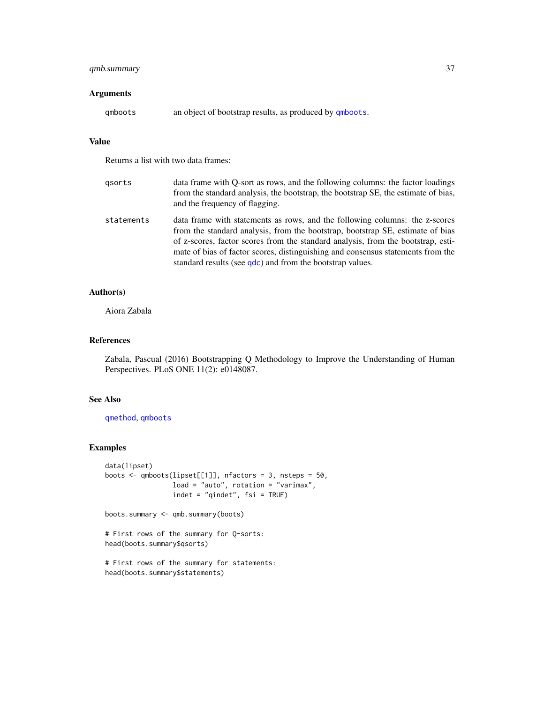## <span id="page-36-0"></span>qmb.summary 37

## Arguments

qmboots an object of bootstrap results, as produced by [qmboots](#page-37-1).

## Value

Returns a list with two data frames:

| gsorts     | data frame with Q-sort as rows, and the following columns: the factor loadings<br>from the standard analysis, the bootstrap, the bootstrap SE, the estimate of bias,<br>and the frequency of flagging.                                                                                                                                                                                            |
|------------|---------------------------------------------------------------------------------------------------------------------------------------------------------------------------------------------------------------------------------------------------------------------------------------------------------------------------------------------------------------------------------------------------|
| statements | data frame with statements as rows, and the following columns: the z-scores<br>from the standard analysis, from the bootstrap, bootstrap SE, estimate of bias<br>of z-scores, factor scores from the standard analysis, from the bootstrap, esti-<br>mate of bias of factor scores, distinguishing and consensus statements from the<br>standard results (see qdc) and from the bootstrap values. |

## Author(s)

Aiora Zabala

## References

Zabala, Pascual (2016) Bootstrapping Q Methodology to Improve the Understanding of Human Perspectives. PLoS ONE 11(2): e0148087.

## See Also

[qmethod](#page-39-1), [qmboots](#page-37-1)

```
data(lipset)
boots <- qmboots(lipset[[1]], nfactors = 3, nsteps = 50,
                 load = "auto", rotation = "varimax",
                 indet = "qindet", fsi = TRUE)
```

```
boots.summary <- qmb.summary(boots)
```

```
# First rows of the summary for Q-sorts:
head(boots.summary$qsorts)
```

```
# First rows of the summary for statements:
head(boots.summary$statements)
```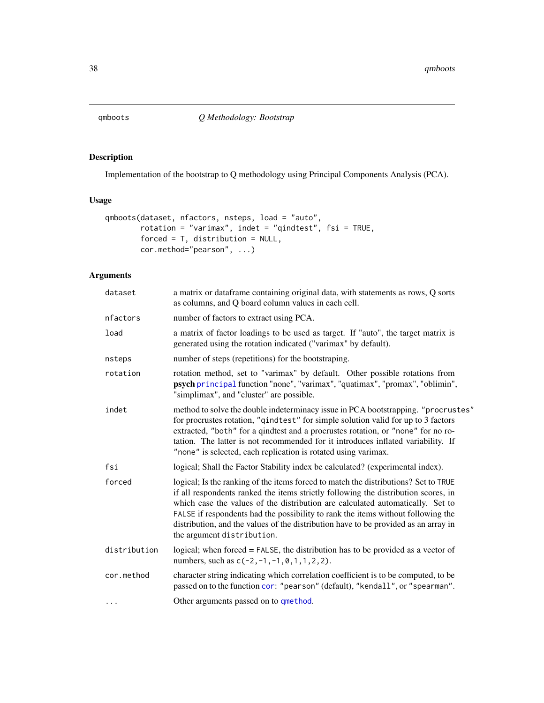<span id="page-37-1"></span><span id="page-37-0"></span>

Implementation of the bootstrap to Q methodology using Principal Components Analysis (PCA).

## Usage

```
qmboots(dataset, nfactors, nsteps, load = "auto",
       rotation = "varimax", indet = "qindtest", fsi = TRUE,
       forced = T, distribution = NULL,
       cor.method="pearson", ...)
```
## Arguments

| dataset      | a matrix or dataframe containing original data, with statements as rows, Q sorts<br>as columns, and Q board column values in each cell.                                                                                                                                                                                                                                                                                                                              |
|--------------|----------------------------------------------------------------------------------------------------------------------------------------------------------------------------------------------------------------------------------------------------------------------------------------------------------------------------------------------------------------------------------------------------------------------------------------------------------------------|
| nfactors     | number of factors to extract using PCA.                                                                                                                                                                                                                                                                                                                                                                                                                              |
| load         | a matrix of factor loadings to be used as target. If "auto", the target matrix is<br>generated using the rotation indicated ("varimax" by default).                                                                                                                                                                                                                                                                                                                  |
| nsteps       | number of steps (repetitions) for the bootstraping.                                                                                                                                                                                                                                                                                                                                                                                                                  |
| rotation     | rotation method, set to "varimax" by default. Other possible rotations from<br>psych principal function "none", "varimax", "quatimax", "promax", "oblimin",<br>"simplimax", and "cluster" are possible.                                                                                                                                                                                                                                                              |
| indet        | method to solve the double indeterminacy issue in PCA bootstrapping. "procrustes"<br>for procrustes rotation, "qindtest" for simple solution valid for up to 3 factors<br>extracted, "both" for a qindtest and a procrustes rotation, or "none" for no ro-<br>tation. The latter is not recommended for it introduces inflated variability. If<br>"none" is selected, each replication is rotated using varimax.                                                     |
| fsi          | logical; Shall the Factor Stability index be calculated? (experimental index).                                                                                                                                                                                                                                                                                                                                                                                       |
| forced       | logical; Is the ranking of the items forced to match the distributions? Set to TRUE<br>if all respondents ranked the items strictly following the distribution scores, in<br>which case the values of the distribution are calculated automatically. Set to<br>FALSE if respondents had the possibility to rank the items without following the<br>distribution, and the values of the distribution have to be provided as an array in<br>the argument distribution. |
| distribution | logical; when forced = FALSE, the distribution has to be provided as a vector of<br>numbers, such as $c(-2, -1, -1, 0, 1, 1, 2, 2)$ .                                                                                                                                                                                                                                                                                                                                |
| cor.method   | character string indicating which correlation coefficient is to be computed, to be<br>passed on to the function cor: "pearson" (default), "kendall", or "spearman".                                                                                                                                                                                                                                                                                                  |
| .            | Other arguments passed on to qmethod.                                                                                                                                                                                                                                                                                                                                                                                                                                |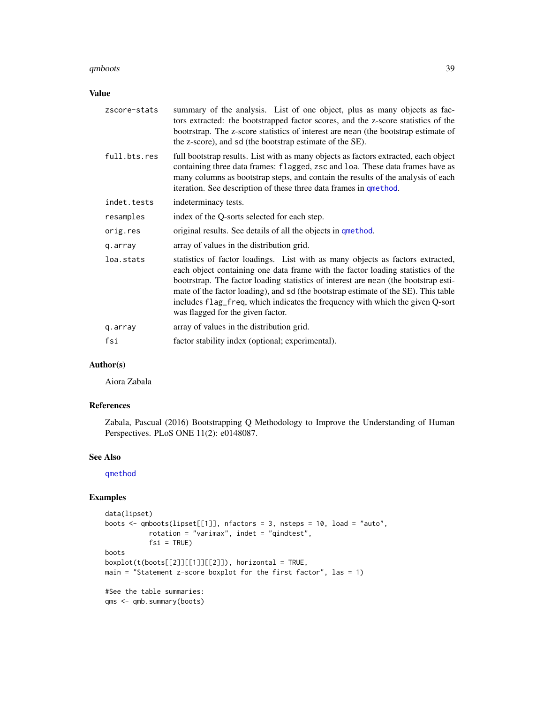#### <span id="page-38-0"></span>qmboots 39

## Value

| zscore-stats | summary of the analysis. List of one object, plus as many objects as fac-<br>tors extracted: the bootstrapped factor scores, and the z-score statistics of the<br>bootrstrap. The z-score statistics of interest are mean (the bootstrap estimate of<br>the z-score), and sd (the bootstrap estimate of the SE).                                                                                                                                                     |
|--------------|----------------------------------------------------------------------------------------------------------------------------------------------------------------------------------------------------------------------------------------------------------------------------------------------------------------------------------------------------------------------------------------------------------------------------------------------------------------------|
| full.bts.res | full bootstrap results. List with as many objects as factors extracted, each object<br>containing three data frames: flagged, zsc and loa. These data frames have as<br>many columns as bootstrap steps, and contain the results of the analysis of each<br>iteration. See description of these three data frames in que thod.                                                                                                                                       |
| indet.tests  | indeterminacy tests.                                                                                                                                                                                                                                                                                                                                                                                                                                                 |
| resamples    | index of the Q-sorts selected for each step.                                                                                                                                                                                                                                                                                                                                                                                                                         |
| orig.res     | original results. See details of all the objects in quethod.                                                                                                                                                                                                                                                                                                                                                                                                         |
| q.array      | array of values in the distribution grid.                                                                                                                                                                                                                                                                                                                                                                                                                            |
| loa.stats    | statistics of factor loadings. List with as many objects as factors extracted,<br>each object containing one data frame with the factor loading statistics of the<br>bootrstrap. The factor loading statistics of interest are mean (the bootstrap esti-<br>mate of the factor loading), and sd (the bootstrap estimate of the SE). This table<br>includes flag_freq, which indicates the frequency with which the given Q-sort<br>was flagged for the given factor. |
| q.array      | array of values in the distribution grid.                                                                                                                                                                                                                                                                                                                                                                                                                            |
| fsi          | factor stability index (optional; experimental).                                                                                                                                                                                                                                                                                                                                                                                                                     |

## Author(s)

Aiora Zabala

## References

Zabala, Pascual (2016) Bootstrapping Q Methodology to Improve the Understanding of Human Perspectives. PLoS ONE 11(2): e0148087.

#### See Also

[qmethod](#page-39-1)

```
data(lipset)
boots <- qmboots(lipset[[1]], nfactors = 3, nsteps = 10, load = "auto",
           rotation = "varimax", indet = "qindtest",
           fsi = TRUEboots
boxplot(t(boots[[2]][[1]][[2]]), horizontal = TRUE,
main = "Statement z-score boxplot for the first factor", las = 1)
#See the table summaries:
qms <- qmb.summary(boots)
```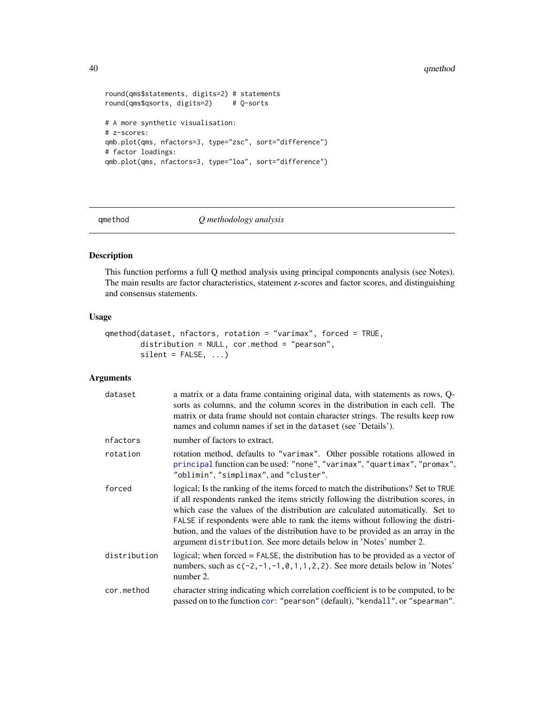#### 40 qmethod

```
round(qms$statements, digits=2) # statements
round(qms$qsorts, digits=2) # Q-sorts
# A more synthetic visualisation:
# z-scores:
qmb.plot(qms, nfactors=3, type="zsc", sort="difference")
# factor loadings:
qmb.plot(qms, nfactors=3, type="loa", sort="difference")
```
<span id="page-39-1"></span>qmethod *Q methodology analysis*

## Description

This function performs a full Q method analysis using principal components analysis (see Notes). The main results are factor characteristics, statement z-scores and factor scores, and distinguishing and consensus statements.

## Usage

```
qmethod(dataset, nfactors, rotation = "varimax", forced = TRUE,
       distribution = NULL, cor.method = "pearson",
       silent = FALSE, ...)
```
## Arguments

| dataset      | a matrix or a data frame containing original data, with statements as rows, Q-<br>sorts as columns, and the column scores in the distribution in each cell. The<br>matrix or data frame should not contain character strings. The results keep row<br>names and column names if set in the dataset (see 'Details').                                                                                                                                                                                      |
|--------------|----------------------------------------------------------------------------------------------------------------------------------------------------------------------------------------------------------------------------------------------------------------------------------------------------------------------------------------------------------------------------------------------------------------------------------------------------------------------------------------------------------|
| nfactors     | number of factors to extract.                                                                                                                                                                                                                                                                                                                                                                                                                                                                            |
| rotation     | rotation method, defaults to "varimax". Other possible rotations allowed in<br>principal function can be used: "none", "varimax", "quartimax", "promax",<br>"oblimin", "simplimax", and "cluster".                                                                                                                                                                                                                                                                                                       |
| forced       | logical; Is the ranking of the items forced to match the distributions? Set to TRUE<br>if all respondents ranked the items strictly following the distribution scores, in<br>which case the values of the distribution are calculated automatically. Set to<br>FALSE if respondents were able to rank the items without following the distri-<br>bution, and the values of the distribution have to be provided as an array in the<br>argument distribution. See more details below in 'Notes' number 2. |
| distribution | logical; when forced = FALSE, the distribution has to be provided as a vector of<br>numbers, such as $c(-2, -1, -1, 0, 1, 1, 2, 2)$ . See more details below in 'Notes'<br>number 2.                                                                                                                                                                                                                                                                                                                     |
| cor.method   | character string indicating which correlation coefficient is to be computed, to be<br>passed on to the function cor: "pearson" (default), "kendall", or "spearman".                                                                                                                                                                                                                                                                                                                                      |

<span id="page-39-0"></span>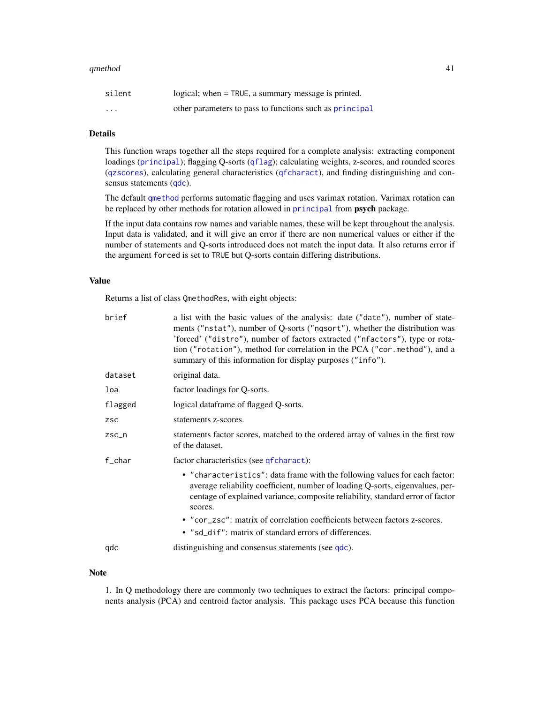#### <span id="page-40-0"></span>qmethod 41

| silent   | logical; when = TRUE, a summary message is printed.     |
|----------|---------------------------------------------------------|
| $\cdots$ | other parameters to pass to functions such as principal |

#### Details

This function wraps together all the steps required for a complete analysis: extracting component loadings ([principal](#page-0-0)); flagging Q-sorts ([qflag](#page-30-1)); calculating weights, z-scores, and rounded scores ([qzscores](#page-43-1)), calculating general characteristics ([qfcharact](#page-28-1)), and finding distinguishing and consensus statements ([qdc](#page-26-1)).

The default [qmethod](#page-39-1) performs automatic flagging and uses varimax rotation. Varimax rotation can be replaced by other methods for rotation allowed in [principal](#page-0-0) from psych package.

If the input data contains row names and variable names, these will be kept throughout the analysis. Input data is validated, and it will give an error if there are non numerical values or either if the number of statements and Q-sorts introduced does not match the input data. It also returns error if the argument forced is set to TRUE but Q-sorts contain differing distributions.

#### Value

Returns a list of class QmethodRes, with eight objects:

| brief      | a list with the basic values of the analysis: date ("date"), number of state-<br>ments ("nstat"), number of Q-sorts ("nqsort"), whether the distribution was<br>'forced' ("distro"), number of factors extracted ("nfactors"), type or rota-<br>tion ("rotation"), method for correlation in the PCA ("cor.method"), and a<br>summary of this information for display purposes ("info"). |
|------------|------------------------------------------------------------------------------------------------------------------------------------------------------------------------------------------------------------------------------------------------------------------------------------------------------------------------------------------------------------------------------------------|
| dataset    | original data.                                                                                                                                                                                                                                                                                                                                                                           |
| loa        | factor loadings for Q-sorts.                                                                                                                                                                                                                                                                                                                                                             |
| flagged    | logical dataframe of flagged Q-sorts.                                                                                                                                                                                                                                                                                                                                                    |
| <b>ZSC</b> | statements z-scores.                                                                                                                                                                                                                                                                                                                                                                     |
| $ZSC_n$    | statements factor scores, matched to the ordered array of values in the first row<br>of the dataset.                                                                                                                                                                                                                                                                                     |
| $f_{char}$ | factor characteristics (see qfcharact):                                                                                                                                                                                                                                                                                                                                                  |
|            | • "characteristics": data frame with the following values for each factor:<br>average reliability coefficient, number of loading Q-sorts, eigenvalues, per-<br>centage of explained variance, composite reliability, standard error of factor<br>scores.                                                                                                                                 |
|            | • "cor_zsc": matrix of correlation coefficients between factors z-scores.<br>• "sd_dif": matrix of standard errors of differences.                                                                                                                                                                                                                                                       |
| qdc        | distinguishing and consensus statements (see qdc).                                                                                                                                                                                                                                                                                                                                       |

#### Note

1. In Q methodology there are commonly two techniques to extract the factors: principal components analysis (PCA) and centroid factor analysis. This package uses PCA because this function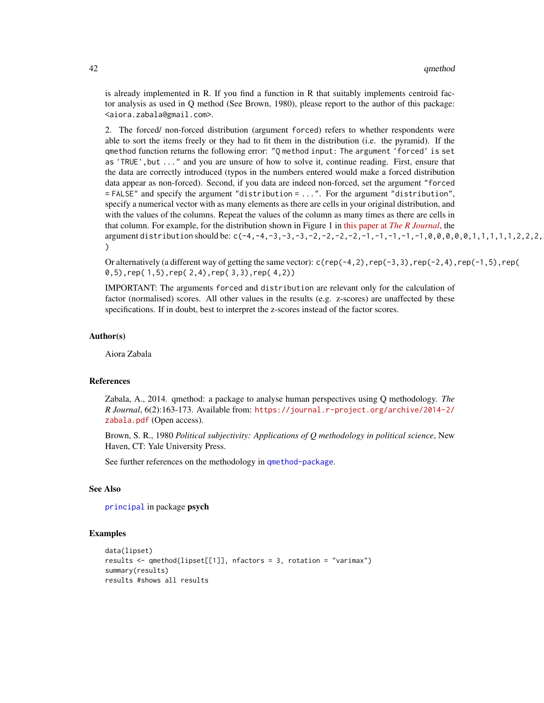is already implemented in R. If you find a function in R that suitably implements centroid factor analysis as used in Q method (See Brown, 1980), please report to the author of this package: <aiora.zabala@gmail.com>.

2. The forced/ non-forced distribution (argument forced) refers to whether respondents were able to sort the items freely or they had to fit them in the distribution (i.e. the pyramid). If the qmethod function returns the following error: "Q method input: The argument 'forced' is set as 'TRUE',but ..." and you are unsure of how to solve it, continue reading. First, ensure that the data are correctly introduced (typos in the numbers entered would make a forced distribution data appear as non-forced). Second, if you data are indeed non-forced, set the argument "forced = FALSE" and specify the argument "distribution = ...". For the argument "distribution", specify a numerical vector with as many elements as there are cells in your original distribution, and with the values of the columns. Repeat the values of the column as many times as there are cells in that column. For example, for the distribution shown in Figure 1 in this paper at *[The R Journal](https://journal.r-project.org/archive/2014-2/zabala.pdf)*, the argument distribution should be:  $c(-4, -4, -3, -3, -3, -3, -2, -2, -2, -2, -1, -1, -1, -1, -1, 0, 0, 0, 0, 0, 1, 1, 1, 1, 1, 2, 2, 2, 1)$ )

Or alternatively (a different way of getting the same vector):  $c$  (rep(-4, 2), rep(-3, 3), rep(-2, 4), rep(-1, 5), rep( 0,5),rep( 1,5),rep( 2,4),rep( 3,3),rep( 4,2))

IMPORTANT: The arguments forced and distribution are relevant only for the calculation of factor (normalised) scores. All other values in the results (e.g. z-scores) are unaffected by these specifications. If in doubt, best to interpret the z-scores instead of the factor scores.

#### Author(s)

Aiora Zabala

#### References

Zabala, A., 2014. qmethod: a package to analyse human perspectives using Q methodology. *The R Journal*, 6(2):163-173. Available from: [https://journal.r-project.org/archive/2014-2/](https://journal.r-project.org/archive/2014-2/zabala.pdf) [zabala.pdf](https://journal.r-project.org/archive/2014-2/zabala.pdf) (Open access).

Brown, S. R., 1980 *Political subjectivity: Applications of Q methodology in political science*, New Haven, CT: Yale University Press.

See further references on the methodology in [qmethod-package](#page-1-1).

#### See Also

[principal](#page-0-0) in package psych

```
data(lipset)
results <- qmethod(lipset[[1]], nfactors = 3, rotation = "varimax")
summary(results)
results #shows all results
```
<span id="page-41-0"></span>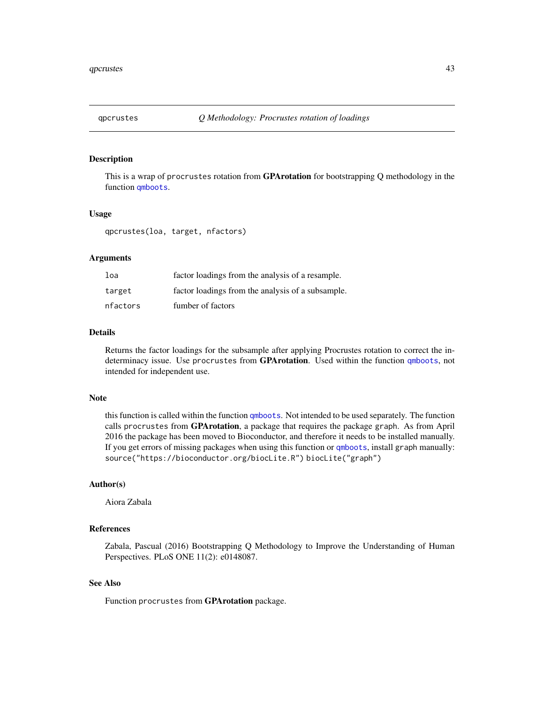<span id="page-42-1"></span><span id="page-42-0"></span>

This is a wrap of procrustes rotation from **GPArotation** for bootstrapping Q methodology in the function [qmboots](#page-37-1).

#### Usage

qpcrustes(loa, target, nfactors)

## Arguments

| loa      | factor loadings from the analysis of a resample.  |
|----------|---------------------------------------------------|
| target   | factor loadings from the analysis of a subsample. |
| nfactors | fumber of factors                                 |

#### Details

Returns the factor loadings for the subsample after applying Procrustes rotation to correct the indeterminacy issue. Use procrustes from GPArotation. Used within the function [qmboots](#page-37-1), not intended for independent use.

#### Note

this function is called within the function [qmboots](#page-37-1). Not intended to be used separately. The function calls procrustes from GPArotation, a package that requires the package graph. As from April 2016 the package has been moved to Bioconductor, and therefore it needs to be installed manually. If you get errors of missing packages when using this function or [qmboots](#page-37-1), install graph manually: source("https://bioconductor.org/biocLite.R") biocLite("graph")

## Author(s)

Aiora Zabala

## References

Zabala, Pascual (2016) Bootstrapping Q Methodology to Improve the Understanding of Human Perspectives. PLoS ONE 11(2): e0148087.

## See Also

Function procrustes from GPArotation package.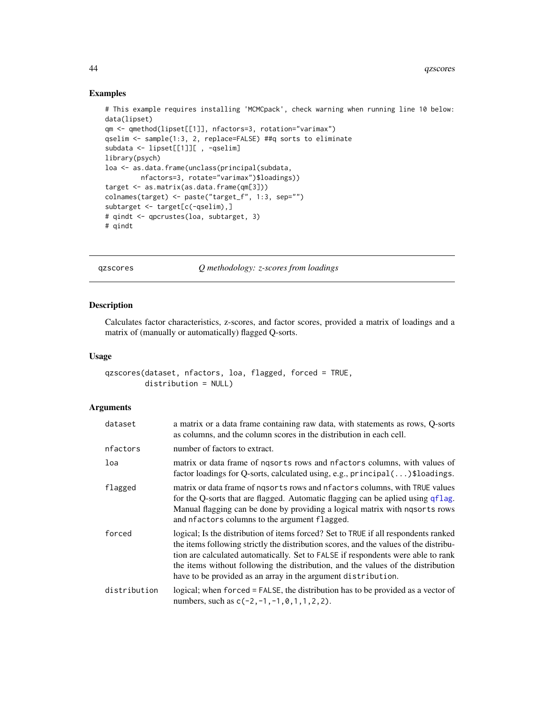#### Examples

```
# This example requires installing 'MCMCpack', check warning when running line 10 below:
data(lipset)
qm <- qmethod(lipset[[1]], nfactors=3, rotation="varimax")
qselim <- sample(1:3, 2, replace=FALSE) ##q sorts to eliminate
subdata <- lipset[[1]][ , -qselim]
library(psych)
loa <- as.data.frame(unclass(principal(subdata,
        nfactors=3, rotate="varimax")$loadings))
target <- as.matrix(as.data.frame(qm[3]))
colnames(target) <- paste("target_f", 1:3, sep="")
subtarget <- target[c(-qselim),]
# qindt <- qpcrustes(loa, subtarget, 3)
# qindt
```
<span id="page-43-1"></span>qzscores *Q methodology: z-scores from loadings*

## Description

Calculates factor characteristics, z-scores, and factor scores, provided a matrix of loadings and a matrix of (manually or automatically) flagged Q-sorts.

## Usage

```
qzscores(dataset, nfactors, loa, flagged, forced = TRUE,
        distribution = NULL)
```
#### Arguments

| dataset      | a matrix or a data frame containing raw data, with statements as rows, Q-sorts<br>as columns, and the column scores in the distribution in each cell.                                                                                                                                                                                                                                                                 |
|--------------|-----------------------------------------------------------------------------------------------------------------------------------------------------------------------------------------------------------------------------------------------------------------------------------------------------------------------------------------------------------------------------------------------------------------------|
| nfactors     | number of factors to extract.                                                                                                                                                                                                                                                                                                                                                                                         |
| loa          | matrix or data frame of nqsorts rows and nfactors columns, with values of<br>factor loadings for Q-sorts, calculated using, e.g., $principal()$ \$loadings.                                                                                                                                                                                                                                                           |
| flagged      | matrix or data frame of ngsorts rows and nfactors columns, with TRUE values<br>for the Q-sorts that are flagged. Automatic flagging can be aplied using qflag.<br>Manual flagging can be done by providing a logical matrix with ngsorts rows<br>and nfactors columns to the argument flagged.                                                                                                                        |
| forced       | logical; Is the distribution of items forced? Set to TRUE if all respondents ranked<br>the items following strictly the distribution scores, and the values of the distribu-<br>tion are calculated automatically. Set to FALSE if respondents were able to rank<br>the items without following the distribution, and the values of the distribution<br>have to be provided as an array in the argument distribution. |
| distribution | logical; when forced = FALSE, the distribution has to be provided as a vector of<br>numbers, such as $c(-2, -1, -1, 0, 1, 1, 2, 2)$ .                                                                                                                                                                                                                                                                                 |

<span id="page-43-0"></span>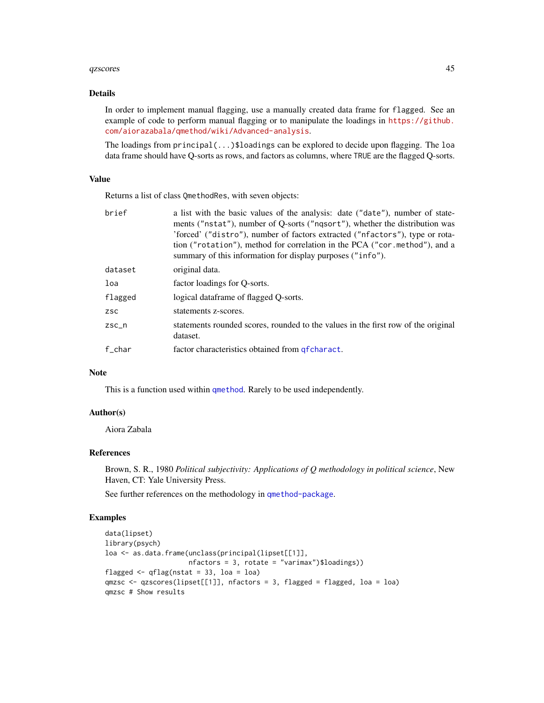#### <span id="page-44-0"></span>qzscores and the contract of the contract of the contract of the contract of the contract of the contract of the contract of the contract of the contract of the contract of the contract of the contract of the contract of t

#### Details

In order to implement manual flagging, use a manually created data frame for flagged. See an example of code to perform manual flagging or to manipulate the loadings in [https://github.](https://github.com/aiorazabala/qmethod/wiki/Advanced-analysis) [com/aiorazabala/qmethod/wiki/Advanced-analysis](https://github.com/aiorazabala/qmethod/wiki/Advanced-analysis).

The loadings from  $principal(...)$ \$loadings can be explored to decide upon flagging. The loa data frame should have Q-sorts as rows, and factors as columns, where TRUE are the flagged Q-sorts.

## Value

Returns a list of class QmethodRes, with seven objects:

| brief      | a list with the basic values of the analysis: date ("date"), number of state-<br>ments ("nstat"), number of Q-sorts ("ngsort"), whether the distribution was<br>'forced' ("distro"), number of factors extracted ("nfactors"), type or rota-<br>tion ("rotation"), method for correlation in the PCA ("cor.method"), and a<br>summary of this information for display purposes ("info"). |
|------------|------------------------------------------------------------------------------------------------------------------------------------------------------------------------------------------------------------------------------------------------------------------------------------------------------------------------------------------------------------------------------------------|
| dataset    | original data.                                                                                                                                                                                                                                                                                                                                                                           |
| loa        | factor loadings for Q-sorts.                                                                                                                                                                                                                                                                                                                                                             |
| flagged    | logical dataframe of flagged O-sorts.                                                                                                                                                                                                                                                                                                                                                    |
| <b>ZSC</b> | statements z-scores.                                                                                                                                                                                                                                                                                                                                                                     |
| $ZSC_n$    | statements rounded scores, rounded to the values in the first row of the original<br>dataset.                                                                                                                                                                                                                                                                                            |
| f char     | factor characteristics obtained from get charact.                                                                                                                                                                                                                                                                                                                                        |

## Note

This is a function used within [qmethod](#page-39-1). Rarely to be used independently.

#### Author(s)

Aiora Zabala

## References

Brown, S. R., 1980 *Political subjectivity: Applications of Q methodology in political science*, New Haven, CT: Yale University Press.

See further references on the methodology in [qmethod-package](#page-1-1).

```
data(lipset)
library(psych)
loa <- as.data.frame(unclass(principal(lipset[[1]],
                    nfactors = 3, rotate = "varimax")$loadings))
flagged \leq qflag(nstat = 33, loa = loa)
qmzsc <- qzscores(lipset[[1]], nfactors = 3, flagged = flagged, loa = loa)
qmzsc # Show results
```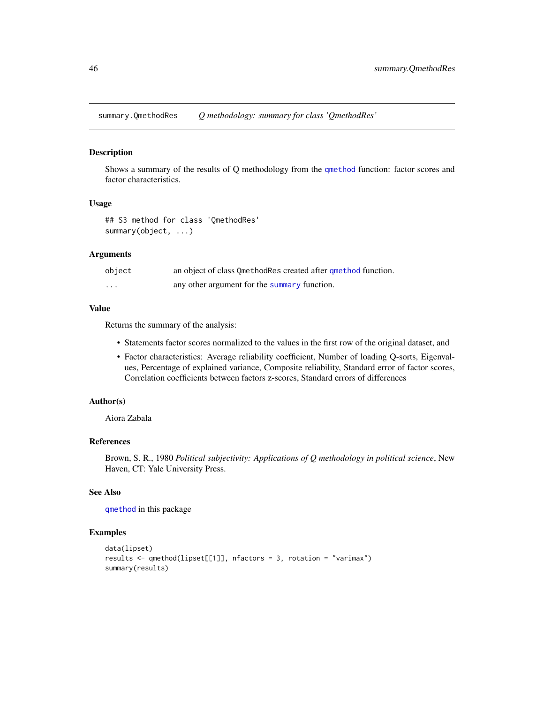<span id="page-45-0"></span>summary.QmethodRes *Q methodology: summary for class 'QmethodRes'*

#### Description

Shows a summary of the results of Q methodology from the [qmethod](#page-39-1) function: factor scores and factor characteristics.

#### Usage

## S3 method for class 'QmethodRes' summary(object, ...)

## Arguments

| object   | an object of class OmethodRes created after quethod function. |
|----------|---------------------------------------------------------------|
| $\cdots$ | any other argument for the summary function.                  |

## Value

Returns the summary of the analysis:

- Statements factor scores normalized to the values in the first row of the original dataset, and
- Factor characteristics: Average reliability coefficient, Number of loading Q-sorts, Eigenvalues, Percentage of explained variance, Composite reliability, Standard error of factor scores, Correlation coefficients between factors z-scores, Standard errors of differences

## Author(s)

Aiora Zabala

## References

Brown, S. R., 1980 *Political subjectivity: Applications of Q methodology in political science*, New Haven, CT: Yale University Press.

## See Also

[qmethod](#page-39-1) in this package

```
data(lipset)
results <- qmethod(lipset[[1]], nfactors = 3, rotation = "varimax")
summary(results)
```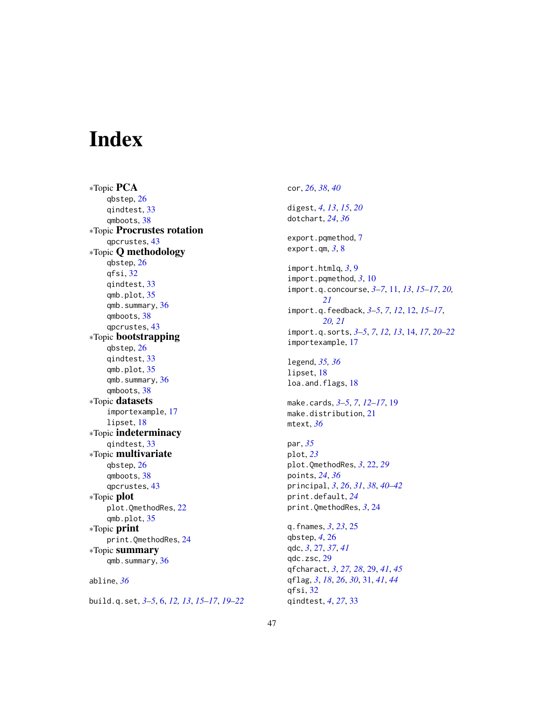# <span id="page-46-0"></span>Index

∗Topic PCA qbstep, [26](#page-25-0) qindtest, [33](#page-32-0) qmboots, [38](#page-37-0) ∗Topic Procrustes rotation qpcrustes, [43](#page-42-0) ∗Topic Q methodology qbstep, [26](#page-25-0) qfsi, [32](#page-31-0) qindtest, [33](#page-32-0) qmb.plot, [35](#page-34-0) qmb.summary, [36](#page-35-0) qmboots, [38](#page-37-0) qpcrustes, [43](#page-42-0) ∗Topic bootstrapping qbstep, [26](#page-25-0) qindtest, [33](#page-32-0) qmb.plot, [35](#page-34-0) qmb.summary, [36](#page-35-0) qmboots, [38](#page-37-0) ∗Topic datasets importexample, [17](#page-16-0) lipset, [18](#page-17-0) ∗Topic indeterminacy qindtest, [33](#page-32-0) ∗Topic multivariate qbstep, [26](#page-25-0) qmboots, [38](#page-37-0) qpcrustes, [43](#page-42-0) ∗Topic plot plot.QmethodRes, [22](#page-21-0) qmb.plot, [35](#page-34-0) ∗Topic print print.QmethodRes, [24](#page-23-0) ∗Topic summary qmb.summary, [36](#page-35-0) abline, *[36](#page-35-0)*

build.q.set, *[3](#page-2-0)[–5](#page-4-0)*, [6,](#page-5-0) *[12,](#page-11-0) [13](#page-12-0)*, *[15–](#page-14-0)[17](#page-16-0)*, *[19–](#page-18-0)[22](#page-21-0)*

cor, *[26](#page-25-0)*, *[38](#page-37-0)*, *[40](#page-39-0)* digest, *[4](#page-3-0)*, *[13](#page-12-0)*, *[15](#page-14-0)*, *[20](#page-19-0)* dotchart, *[24](#page-23-0)*, *[36](#page-35-0)* export.pqmethod, [7](#page-6-0) export.qm, *[3](#page-2-0)*, [8](#page-7-0) import.htmlq, *[3](#page-2-0)*, [9](#page-8-0) import.pqmethod, *[3](#page-2-0)*, [10](#page-9-0) import.q.concourse, *[3](#page-2-0)[–7](#page-6-0)*, [11,](#page-10-0) *[13](#page-12-0)*, *[15](#page-14-0)[–17](#page-16-0)*, *[20,](#page-19-0) [21](#page-20-0)* import.q.feedback, *[3](#page-2-0)[–5](#page-4-0)*, *[7](#page-6-0)*, *[12](#page-11-0)*, [12,](#page-11-0) *[15](#page-14-0)[–17](#page-16-0)*, *[20,](#page-19-0) [21](#page-20-0)* import.q.sorts, *[3](#page-2-0)[–5](#page-4-0)*, *[7](#page-6-0)*, *[12,](#page-11-0) [13](#page-12-0)*, [14,](#page-13-0) *[17](#page-16-0)*, *[20](#page-19-0)[–22](#page-21-0)* importexample, [17](#page-16-0) legend, *[35,](#page-34-0) [36](#page-35-0)* lipset, [18](#page-17-0) loa.and.flags, [18](#page-17-0) make.cards, *[3](#page-2-0)[–5](#page-4-0)*, *[7](#page-6-0)*, *[12](#page-11-0)[–17](#page-16-0)*, [19](#page-18-0) make.distribution, [21](#page-20-0) mtext, *[36](#page-35-0)* par, *[35](#page-34-0)* plot, *[23](#page-22-0)* plot.QmethodRes, *[3](#page-2-0)*, [22,](#page-21-0) *[29](#page-28-0)* points, *[24](#page-23-0)*, *[36](#page-35-0)* principal, *[3](#page-2-0)*, *[26](#page-25-0)*, *[31](#page-30-0)*, *[38](#page-37-0)*, *[40](#page-39-0)[–42](#page-41-0)* print.default, *[24](#page-23-0)* print.QmethodRes, *[3](#page-2-0)*, [24](#page-23-0) q.fnames, *[3](#page-2-0)*, *[23](#page-22-0)*, [25](#page-24-0) qbstep, *[4](#page-3-0)*, [26](#page-25-0) qdc, *[3](#page-2-0)*, [27,](#page-26-0) *[37](#page-36-0)*, *[41](#page-40-0)* qdc.zsc, [29](#page-28-0) qfcharact, *[3](#page-2-0)*, *[27,](#page-26-0) [28](#page-27-0)*, [29,](#page-28-0) *[41](#page-40-0)*, *[45](#page-44-0)* qflag, *[3](#page-2-0)*, *[18](#page-17-0)*, *[26](#page-25-0)*, *[30](#page-29-0)*, [31,](#page-30-0) *[41](#page-40-0)*, *[44](#page-43-0)* qfsi, [32](#page-31-0) qindtest, *[4](#page-3-0)*, *[27](#page-26-0)*, [33](#page-32-0)